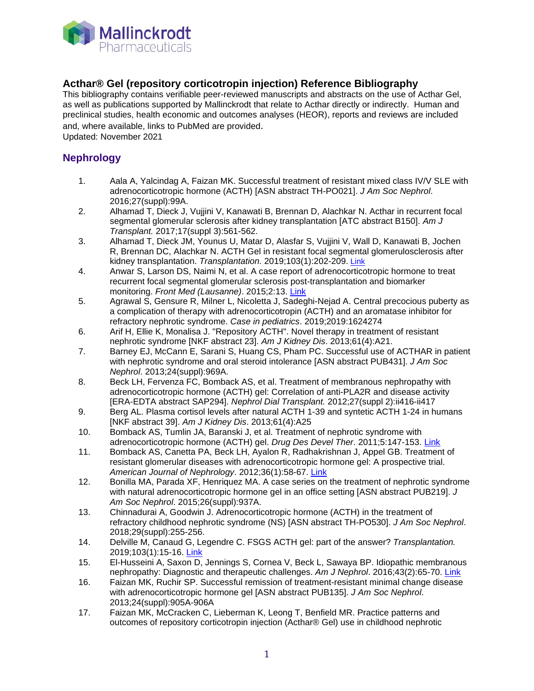

# **Acthar® Gel (repository corticotropin injection) Reference Bibliography**

This bibliography contains verifiable peer-reviewed manuscripts and abstracts on the use of Acthar Gel, as well as publications supported by Mallinckrodt that relate to Acthar directly or indirectly. Human and preclinical studies, health economic and outcomes analyses (HEOR), reports and reviews are included and, where available, links to PubMed are provided.

Updated: November 2021

### **Nephrology**

- 1. Aala A, Yalcindag A, Faizan MK. Successful treatment of resistant mixed class IV/V SLE with adrenocorticotropic hormone (ACTH) [ASN abstract TH-PO021]. *J Am Soc Nephrol*. 2016;27(suppl):99A.
- 2. Alhamad T, Dieck J, Vujjini V, Kanawati B, Brennan D, Alachkar N. Acthar in recurrent focal segmental glomerular sclerosis after kidney transplantation [ATC abstract B150]. *Am J Transplant.* 2017;17(suppl 3):561-562.
- 3. Alhamad T, Dieck JM, Younus U, Matar D, Alasfar S, Vujjini V, Wall D, Kanawati B, Jochen R, Brennan DC, Alachkar N. ACTH Gel in resistant focal segmental glomerulosclerosis after kidney transplantation. *Transplantation.* 2019;103(1):202-209. [Link](https://www.ncbi.nlm.nih.gov/pubmed/29894413)
- 4. Anwar S, Larson DS, Naimi N, et al. A case report of adrenocorticotropic hormone to treat recurrent focal segmental glomerular sclerosis post-transplantation and biomarker monitoring. *Front Med (Lausanne)*. 2015;2:13. [Link](http://www.ncbi.nlm.nih.gov/pubmed/25853133)
- 5. Agrawal S, Gensure R, Milner L, Nicoletta J, Sadeghi-Nejad A. Central precocious puberty as a complication of therapy with adrenocorticotropin (ACTH) and an aromatase inhibitor for refractory nephrotic syndrome. *Case in pediatrics*. 2019;2019:1624274
- 6. Arif H, Ellie K, Monalisa J. "Repository ACTH". Novel therapy in treatment of resistant nephrotic syndrome [NKF abstract 23]. *Am J Kidney Dis*. 2013;61(4):A21.
- 7. Barney EJ, McCann E, Sarani S, Huang CS, Pham PC. Successful use of ACTHAR in patient with nephrotic syndrome and oral steroid intolerance [ASN abstract PUB431]. *J Am Soc Nephrol*. 2013;24(suppl):969A.
- 8. Beck LH, Fervenza FC, Bomback AS, et al. Treatment of membranous nephropathy with adrenocorticotropic hormone (ACTH) gel: Correlation of anti-PLA2R and disease activity [ERA-EDTA abstract SAP294]. *Nephrol Dial Transplant.* 2012;27(suppl 2):ii416-ii417
- 9. Berg AL. Plasma cortisol levels after natural ACTH 1-39 and syntetic ACTH 1-24 in humans [NKF abstract 39]. *Am J Kidney Dis*. 2013;61(4):A25
- 10. Bomback AS, Tumlin JA, Baranski J, et al. Treatment of nephrotic syndrome with adrenocorticotropic hormone (ACTH) gel. *Drug Des Devel Ther*. 2011;5:147-153. [Link](http://www.ncbi.nlm.nih.gov/pubmed/21448451)
- 11. Bomback AS, Canetta PA, Beck LH, Ayalon R, Radhakrishnan J, Appel GB. Treatment of resistant glomerular diseases with adrenocorticotropic hormone gel: A prospective trial. *American Journal of Nephrology*. 2012;36(1):58-67. [Link](http://www.ncbi.nlm.nih.gov/pubmed/22722778)
- 12. Bonilla MA, Parada XF, Henriquez MA. A case series on the treatment of nephrotic syndrome with natural adrenocorticotropic hormone gel in an office setting [ASN abstract PUB219]. *J Am Soc Nephrol*. 2015;26(suppl):937A.
- 13. Chinnadurai A, Goodwin J. Adrenocorticotropic hormone (ACTH) in the treatment of refractory childhood nephrotic syndrome (NS) [ASN abstract TH-PO530]. *J Am Soc Nephrol*. 2018;29(suppl):255-256.
- 14. Delville M, Canaud G, Legendre C. FSGS ACTH gel: part of the answer? *Transplantation.* 2019;103(1):15-16. [Link](https://www.ncbi.nlm.nih.gov/pubmed/29894412)
- 15. El-Husseini A, Saxon D, Jennings S, Cornea V, Beck L, Sawaya BP. Idiopathic membranous nephropathy: Diagnostic and therapeutic challenges. *Am J Nephrol*. 2016;43(2):65-70. [Link](http://www.ncbi.nlm.nih.gov/pubmed/26914654)
- 16. Faizan MK, Ruchir SP. Successful remission of treatment-resistant minimal change disease with adrenocorticotropic hormone gel [ASN abstract PUB135]. *J Am Soc Nephrol*. 2013;24(suppl):905A-906A
- 17. Faizan MK, McCracken C, Lieberman K, Leong T, Benfield MR. Practice patterns and outcomes of repository corticotropin injection (Acthar® Gel) use in childhood nephrotic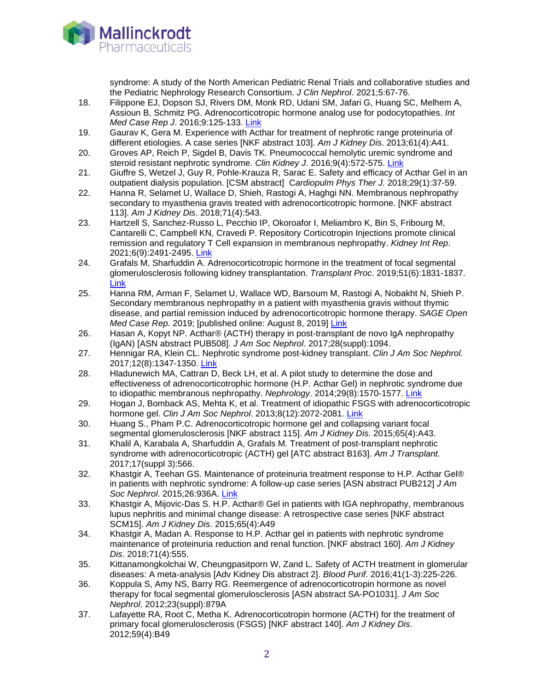

syndrome: A study of the North American Pediatric Renal Trials and collaborative studies and the Pediatric Nephrology Research Consortium. *J Clin Nephrol*. 2021;5:67-76.

- 18. Filippone EJ, Dopson SJ, Rivers DM, Monk RD, Udani SM, Jafari G, Huang SC, Melhem A, Assioun B, Schmitz PG. Adrenocorticotropic hormone analog use for podocytopathies. *Int Med Case Rep J*. 2016;9:125-133. [Link](http://www.ncbi.nlm.nih.gov/pubmed/27418857)
- 19. Gaurav K, Gera M. Experience with Acthar for treatment of nephrotic range proteinuria of different etiologies. A case series [NKF abstract 103]. *Am J Kidney Dis*. 2013;61(4):A41.
- 20. Groves AP, Reich P, Sigdel B, Davis TK. Pneumococcal hemolytic uremic syndrome and steroid resistant nephrotic syndrome. *Clin Kidney J*. 2016;9(4):572-575. [Link](http://www.ncbi.nlm.nih.gov/pubmed/27478599)
- 21. Giuffre S, Wetzel J, Guy R, Pohle-Krauza R, Sarac E. Safety and efficacy of Acthar Gel in an outpatient dialysis population. [CSM abstract] C*ardiopulm Phys Ther J.* 2018;29(1):37-59.
- 22. Hanna R, Selamet U, Wallace D, Shieh, Rastogi A, Haghgi NN. Membranous nephropathy secondary to myasthenia gravis treated with adrenocorticotropic hormone. [NKF abstract 113]. *Am J Kidney Dis*. 2018;71(4):543.
- 23. Hartzell S, Sanchez-Russo L, Pecchio IP, Okoroafor I, Meliambro K, Bin S, Fribourg M, Cantarelli C, Campbell KN, Cravedi P. Repository Corticotropin Injections promote clinical remission and regulatory T Cell expansion in membranous nephropathy. *Kidney Int Rep*. 2021;6(9):2491-2495. [Link](https://pubmed.ncbi.nlm.nih.gov/34514212/)
- 24. Grafals M, Sharfuddin A. Adrenocorticotropic hormone in the treatment of focal segmental glomerulosclerosis following kidney transplantation. *Transplant Proc*. 2019;51(6):1831-1837. [Link](https://www.ncbi.nlm.nih.gov/pubmed/1399168)
- 25. Hanna RM, Arman F, Selamet U, Wallace WD, Barsoum M, Rastogi A, Nobakht N, Shieh P. Secondary membranous nephropathy in a patient with myasthenia gravis without thymic disease, and partial remission induced by adrenocorticotropic hormone therapy. *SAGE Open Med Case Rep*. 2019; [published online: August 8, 2019] [Link](https://www.ncbi.nlm.nih.gov/pubmed/31448123)
- 26. Hasan A, Kopyt NP. Acthar® (ACTH) therapy in post-transplant de novo IgA nephropathy (IgAN) [ASN abstract PUB508]. *J Am Soc Nephrol*. 2017;28(suppl):1094.
- 27. Hennigar RA, Klein CL. Nephrotic syndrome post-kidney transplant. *Clin J Am Soc Nephrol.* 2017;12(8):1347-1350. [Link](https://www.ncbi.nlm.nih.gov/pubmed/28596417)
- 28. Hladunewich MA, Cattran D, Beck LH, et al. A pilot study to determine the dose and effectiveness of adrenocorticotrophic hormone (H.P. Acthar Gel) in nephrotic syndrome due to idiopathic membranous nephropathy. *Nephrology*. 2014;29(8):1570-1577. [Link](http://www.ncbi.nlm.nih.gov/pubmed/24714414)
- 29. Hogan J, Bomback AS, Mehta K, et al. Treatment of idiopathic FSGS with adrenocorticotropic hormone gel. *Clin J Am Soc Nephrol*. 2013;8(12):2072-2081. [Link](http://www.ncbi.nlm.nih.gov/pubmed/24009220)
- 30. Huang S., Pham P.C. Adrenocorticotropic hormone gel and collapsing variant focal segmental glomerulosclerosis [NKF abstract 115]. *Am J Kidney Dis.* 2015;65(4):A43.
- 31. Khalil A, Karabala A, Sharfuddin A, Grafals M. Treatment of post-transplant nephrotic syndrome with adrenocorticotropic (ACTH) gel [ATC abstract B163]. *Am J Transplant.* 2017;17(suppl 3):566.
- 32. Khastgir A, Teehan GS. Maintenance of proteinuria treatment response to H.P. Acthar Gel® in patients with nephrotic syndrome: A follow-up case series [ASN abstract PUB212] *J Am Soc Nephrol*. 2015;26:936A. [Link](http://www.abstracts2view.com/asn_2015/view.php?nu=2345&terms=&type=abstract)
- 33. Khastgir A, Mijovic-Das S. H.P. Acthar® Gel in patients with IGA nephropathy, membranous lupus nephritis and minimal change disease: A retrospective case series [NKF abstract SCM15]. *Am J Kidney Dis*. 2015;65(4):A49
- 34. Khastgir A, Madan A. Response to H.P. Acthar gel in patients with nephrotic syndrome maintenance of proteinuria reduction and renal function. [NKF abstract 160]. *Am J Kidney Dis*. 2018;71(4):555.
- 35. Kittanamongkolchai W, Cheungpasitporn W, Zand L. Safety of ACTH treatment in glomerular diseases: A meta-analysis [Adv Kidney Dis abstract 2]. *Blood Purif*. 2016;41(1-3):225-226.
- 36. Koppula S, Amy NS, Barry RG. Reemergence of adrenocorticotropin hormone as novel therapy for focal segmental glomerulosclerosis [ASN abstract SA-PO1031]. *J Am Soc Nephrol*. 2012;23(suppl):879A
- 37. Lafayette RA, Root C, Metha K. Adrenocorticotropin hormone (ACTH) for the treatment of primary focal glomerulosclerosis (FSGS) [NKF abstract 140]. *Am J Kidney Dis*. 2012;59(4):B49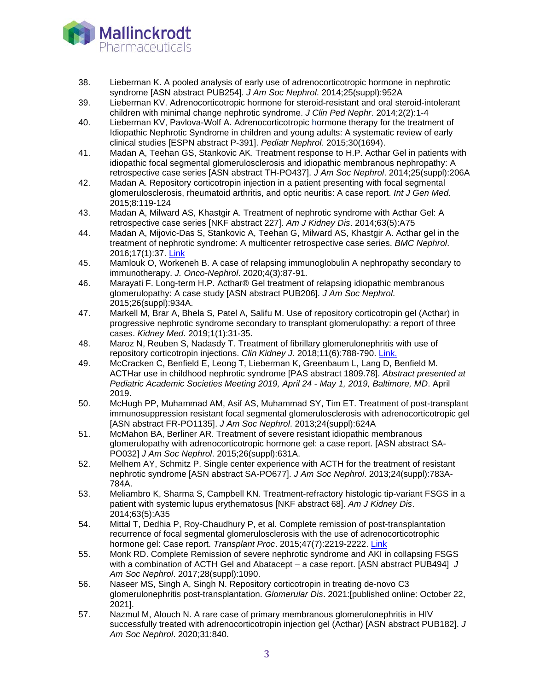

- 38. Lieberman K. A pooled analysis of early use of adrenocorticotropic hormone in nephrotic syndrome [ASN abstract PUB254]. *J Am Soc Nephrol*. 2014;25(suppl):952A
- 39. Lieberman KV. Adrenocorticotropic hormone for steroid-resistant and oral steroid-intolerant children with minimal change nephrotic syndrome. *J Clin Ped Nephr*. 2014;2(2):1-4
- 40. Lieberman KV, Pavlova-Wolf A. Adrenocorticotropic hormone therapy for the treatment of Idiopathic Nephrotic Syndrome in children and young adults: A systematic review of early clinical studies [ESPN abstract P-391]. *Pediatr Nephrol*. 2015;30(1694).
- 41. Madan A, Teehan GS, Stankovic AK. Treatment response to H.P. Acthar Gel in patients with idiopathic focal segmental glomerulosclerosis and idiopathic membranous nephropathy: A retrospective case series [ASN abstract TH-PO437]. *J Am Soc Nephrol*. 2014;25(suppl):206A
- 42. Madan A. Repository corticotropin injection in a patient presenting with focal segmental glomerulosclerosis, rheumatoid arthritis, and optic neuritis: A case report. *Int J Gen Med*. 2015;8:119-124
- 43. Madan A, Milward AS, Khastgir A. Treatment of nephrotic syndrome with Acthar Gel: A retrospective case series [NKF abstract 227]. *Am J Kidney Dis*. 2014;63(5):A75
- 44. Madan A, Mijovic-Das S, Stankovic A, Teehan G, Milward AS, Khastgir A. Acthar gel in the treatment of nephrotic syndrome: A multicenter retrospective case series. *BMC Nephrol*. 2016;17(1):37. [Link](http://www.ncbi.nlm.nih.gov/pubmed/27036111)
- 45. Mamlouk O, Workeneh B. A case of relapsing immunoglobulin A nephropathy secondary to immunotherapy. *J. Onco-Nephrol*. 2020;4(3):87-91.
- 46. Marayati F. Long-term H.P. Acthar® Gel treatment of relapsing idiopathic membranous glomerulopathy: A case study [ASN abstract PUB206]. *J Am Soc Nephrol*. 2015;26(suppl):934A.
- 47. Markell M, Brar A, Bhela S, Patel A, Salifu M. Use of repository corticotropin gel (Acthar) in progressive nephrotic syndrome secondary to transplant glomerulopathy: a report of three cases. *Kidney Med*. 2019;1(1):31-35.
- 48. Maroz N, Reuben S, Nadasdy T. Treatment of fibrillary glomerulonephritis with use of repository corticotropin injections. *Clin Kidney J*. 2018;11(6):788-790. [Link.](https://www.ncbi.nlm.nih.gov/pubmed/30524713)
- 49. McCracken C, Benfield E, Leong T, Lieberman K, Greenbaum L, Lang D, Benfield M. ACTHar use in childhood nephrotic syndrome [PAS abstract 1809.78]. *Abstract presented at Pediatric Academic Societies Meeting 2019, April 24 - May 1, 2019, Baltimore, MD*. April 2019.
- 50. McHugh PP, Muhammad AM, Asif AS, Muhammad SY, Tim ET. Treatment of post-transplant immunosuppression resistant focal segmental glomerulosclerosis with adrenocorticotropic gel [ASN abstract FR-PO1135]. *J Am Soc Nephrol*. 2013;24(suppl):624A
- 51. McMahon BA, Berliner AR. Treatment of severe resistant idiopathic membranous glomerulopathy with adrenocorticotropic hormone gel: a case report. [ASN abstract SA-PO032] *J Am Soc Nephrol*. 2015;26(suppl):631A.
- 52. Melhem AY, Schmitz P. Single center experience with ACTH for the treatment of resistant nephrotic syndrome [ASN abstract SA-PO677]. *J Am Soc Nephrol*. 2013;24(suppl):783A-784A.
- 53. Meliambro K, Sharma S, Campbell KN. Treatment-refractory histologic tip-variant FSGS in a patient with systemic lupus erythematosus [NKF abstract 68]. *Am J Kidney Dis*. 2014;63(5):A35
- 54. Mittal T, Dedhia P, Roy-Chaudhury P, et al. Complete remission of post-transplantation recurrence of focal segmental glomerulosclerosis with the use of adrenocorticotrophic hormone gel: Case report. *Transplant Proc*. 2015;47(7):2219-2222. [Link](http://www.ncbi.nlm.nih.gov/pubmed/26361683)
- 55. Monk RD. Complete Remission of severe nephrotic syndrome and AKI in collapsing FSGS with a combination of ACTH Gel and Abatacept – a case report. [ASN abstract PUB494] *J Am Soc Nephrol*. 2017;28(suppl):1090.
- 56. Naseer MS, Singh A, Singh N. Repository corticotropin in treating de-novo C3 glomerulonephritis post-transplantation. *Glomerular Dis*. 2021:[published online: October 22, 2021].
- 57. Nazmul M, Alouch N. A rare case of primary membranous glomerulonephritis in HIV successfully treated with adrenocorticotropin injection gel (Acthar) [ASN abstract PUB182]. *J Am Soc Nephrol*. 2020;31:840.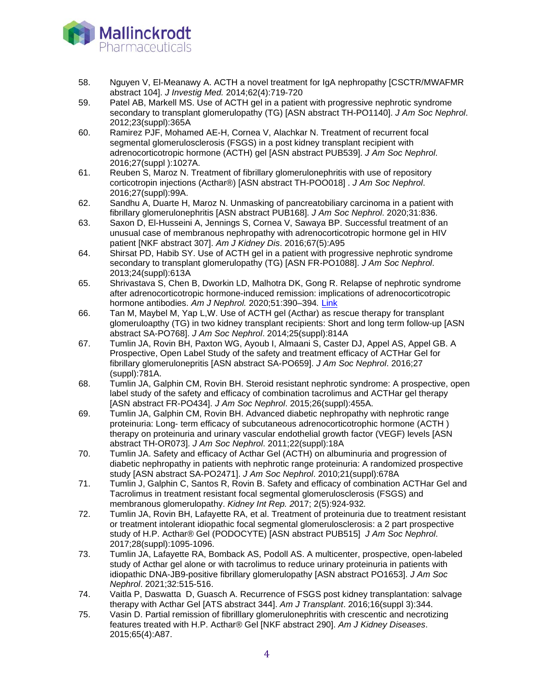

- 58. Nguyen V, El-Meanawy A. ACTH a novel treatment for IgA nephropathy [CSCTR/MWAFMR abstract 104]. *J Investig Med.* 2014;62(4):719-720
- 59. Patel AB, Markell MS. Use of ACTH gel in a patient with progressive nephrotic syndrome secondary to transplant glomerulopathy (TG) [ASN abstract TH-PO1140]. *J Am Soc Nephrol*. 2012;23(suppl):365A
- 60. Ramirez PJF, Mohamed AE-H, Cornea V, Alachkar N. Treatment of recurrent focal segmental glomerulosclerosis (FSGS) in a post kidney transplant recipient with adrenocorticotropic hormone (ACTH) gel [ASN abstract PUB539]. *J Am Soc Nephrol*. 2016;27(suppl ):1027A.
- 61. Reuben S, Maroz N. Treatment of fibrillary glomerulonephritis with use of repository corticotropin injections (Acthar®) [ASN abstract TH-POO018] . *J Am Soc Nephrol*. 2016;27(suppl):99A.
- 62. Sandhu A, Duarte H, Maroz N. Unmasking of pancreatobiliary carcinoma in a patient with fibrillary glomerulonephritis [ASN abstract PUB168]. *J Am Soc Nephrol*. 2020;31:836.
- 63. Saxon D, El-Husseini A, Jennings S, Cornea V, Sawaya BP. Successful treatment of an unusual case of membranous nephropathy with adrenocorticotropic hormone gel in HIV patient [NKF abstract 307]. *Am J Kidney Dis*. 2016;67(5):A95
- 64. Shirsat PD, Habib SY. Use of ACTH gel in a patient with progressive nephrotic syndrome secondary to transplant glomerulopathy (TG) [ASN FR-PO1088]. *J Am Soc Nephrol*. 2013;24(suppl):613A
- 65. Shrivastava S, Chen B, Dworkin LD, Malhotra DK, Gong R. Relapse of nephrotic syndrome after adrenocorticotropic hormone-induced remission: implications of adrenocorticotropic hormone antibodies. *Am J Nephrol.* 2020;51:390–394*.* [Link](https://pubmed.ncbi.nlm.nih.gov/32187600/)
- 66. Tan M, Maybel M, Yap L,W. Use of ACTH gel (Acthar) as rescue therapy for transplant glomeruloapthy (TG) in two kidney transplant recipients: Short and long term follow-up [ASN abstract SA-PO768]. *J Am Soc Nephrol*. 2014;25(suppl):814A
- 67. Tumlin JA, Rovin BH, Paxton WG, Ayoub I, Almaani S, Caster DJ, Appel AS, Appel GB. A Prospective, Open Label Study of the safety and treatment efficacy of ACTHar Gel for fibrillary glomerulonepritis [ASN abstract SA-PO659]. *J Am Soc Nephrol*. 2016;27 (suppl):781A.
- 68. Tumlin JA, Galphin CM, Rovin BH. Steroid resistant nephrotic syndrome: A prospective, open label study of the safety and efficacy of combination tacrolimus and ACTHar gel therapy [ASN abstract FR-PO434]. *J Am Soc Nephrol*. 2015;26(suppl):455A.
- 69. Tumlin JA, Galphin CM, Rovin BH. Advanced diabetic nephropathy with nephrotic range proteinuria: Long- term efficacy of subcutaneous adrenocorticotrophic hormone (ACTH ) therapy on proteinuria and urinary vascular endothelial growth factor (VEGF) levels [ASN abstract TH-OR073]. *J Am Soc Nephrol*. 2011;22(suppl):18A
- 70. Tumlin JA. Safety and efficacy of Acthar Gel (ACTH) on albuminuria and progression of diabetic nephropathy in patients with nephrotic range proteinuria: A randomized prospective study [ASN abstract SA-PO2471]. *J Am Soc Nephrol*. 2010;21(suppl):678A
- 71. Tumlin J, Galphin C, Santos R, Rovin B. Safety and efficacy of combination ACTHar Gel and Tacrolimus in treatment resistant focal segmental glomerulosclerosis (FSGS) and membranous glomerulopathy. *Kidney Int Rep. 2*017; 2(5):924-932*.*
- 72. Tumlin JA, Rovin BH, Lafayette RA, et al. Treatment of proteinuria due to treatment resistant or treatment intolerant idiopathic focal segmental glomerulosclerosis: a 2 part prospective study of H.P. Acthar® Gel (PODOCYTE) [ASN abstract PUB515] *J Am Soc Nephrol*. 2017;28(suppl):1095-1096.
- 73. Tumlin JA, Lafayette RA, Bomback AS, Podoll AS. A multicenter, prospective, open-labeled study of Acthar gel alone or with tacrolimus to reduce urinary proteinuria in patients with idiopathic DNA-JB9-positive fibrillary glomerulopathy [ASN abstract PO1653]. *J Am Soc Nephrol*. 2021;32:515-516.
- 74. Vaitla P, Daswatta D, Guasch A. Recurrence of FSGS post kidney transplantation: salvage therapy with Acthar Gel [ATS abstract 344]. *Am J Transplant*. 2016;16(suppl 3):344.
- 75. Vasin D. Partial remission of fibrilllary glomerulonephritis with crescentic and necrotizing features treated with H.P. Acthar® Gel [NKF abstract 290]. *Am J Kidney Diseases*. 2015;65(4):A87.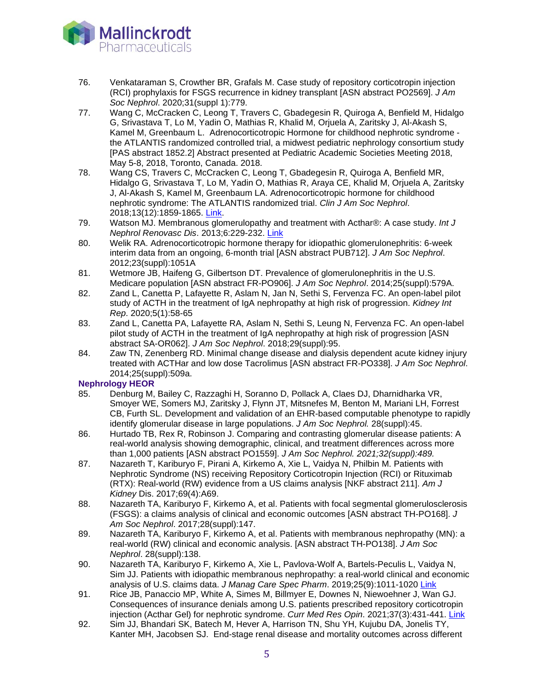

- 76. Venkataraman S, Crowther BR, Grafals M. Case study of repository corticotropin injection (RCI) prophylaxis for FSGS recurrence in kidney transplant [ASN abstract PO2569]. *J Am Soc Nephrol*. 2020;31(suppl 1):779.
- 77. Wang C, McCracken C, Leong T, Travers C, Gbadegesin R, Quiroga A, Benfield M, Hidalgo G, Srivastava T, Lo M, Yadin O, Mathias R, Khalid M, Orjuela A, Zaritsky J, Al-Akash S, Kamel M, Greenbaum L. Adrenocorticotropic Hormone for childhood nephrotic syndrome the ATLANTIS randomized controlled trial, a midwest pediatric nephrology consortium study [PAS abstract 1852.2] Abstract presented at Pediatric Academic Societies Meeting 2018, May 5-8, 2018, Toronto, Canada. 2018.
- 78. Wang CS, Travers C, McCracken C, Leong T, Gbadegesin R, Quiroga A, Benfield MR, Hidalgo G, Srivastava T, Lo M, Yadin O, Mathias R, Araya CE, Khalid M, Orjuela A, Zaritsky J, Al-Akash S, Kamel M, Greenbaum LA. Adrenocorticotropic hormone for childhood nephrotic syndrome: The ATLANTIS randomized trial. *Clin J Am Soc Nephrol*. 2018;13(12):1859-1865. [Link.](https://www.ncbi.nlm.nih.gov/pubmed/30442868)
- 79. Watson MJ. Membranous glomerulopathy and treatment with Acthar®: A case study. *Int J Nephrol Renovasc Dis*. 2013;6:229-232. [Link](http://www.ncbi.nlm.nih.gov/pubmed/24174881)
- 80. Welik RA. Adrenocorticotropic hormone therapy for idiopathic glomerulonephritis: 6-week interim data from an ongoing, 6-month trial [ASN abstract PUB712]. *J Am Soc Nephrol*. 2012;23(suppl):1051A
- 81. Wetmore JB, Haifeng G, Gilbertson DT. Prevalence of glomerulonephritis in the U.S. Medicare population [ASN abstract FR-PO906]. *J Am Soc Nephrol*. 2014;25(suppl):579A.
- 82. Zand L, Canetta P, Lafayette R, Aslam N, Jan N, Sethi S, Fervenza FC. An open-label pilot study of ACTH in the treatment of IgA nephropathy at high risk of progression. *Kidney Int Rep*. 2020;5(1):58-65
- 83. Zand L, Canetta PA, Lafayette RA, Aslam N, Sethi S, Leung N, Fervenza FC. An open-label pilot study of ACTH in the treatment of IgA nephropathy at high risk of progression [ASN abstract SA-OR062]. *J Am Soc Nephrol*. 2018;29(suppl):95.
- 84. Zaw TN, Zenenberg RD. Minimal change disease and dialysis dependent acute kidney injury treated with ACTHar and low dose Tacrolimus [ASN abstract FR-PO338]. *J Am Soc Nephrol*. 2014;25(suppl):509a.

### **Nephrology HEOR**

- 85. Denburg M, Bailey C, Razzaghi H, Soranno D, Pollack A, Claes DJ, Dharnidharka VR, Smoyer WE, Somers MJ, Zaritsky J, Flynn JT, Mitsnefes M, Benton M, Mariani LH, Forrest CB, Furth SL. Development and validation of an EHR-based computable phenotype to rapidly identify glomerular disease in large populations. *J Am Soc Nephrol.* 28(suppl):45.
- 86. Hurtado TB, Rex R, Robinson J. Comparing and contrasting glomerular disease patients: A real-world analysis showing demographic, clinical, and treatment differences across more than 1,000 patients [ASN abstract PO1559]. *J Am Soc Nephrol. 2021;32(suppl):489.*
- 87. Nazareth T, Kariburyo F, Pirani A, Kirkemo A, Xie L, Vaidya N, Philbin M. Patients with Nephrotic Syndrome (NS) receiving Repository Corticotropin Injection (RCI) or Rituximab (RTX): Real-world (RW) evidence from a US claims analysis [NKF abstract 211]. *Am J Kidney* Dis. 2017;69(4):A69.
- 88. Nazareth TA, Kariburyo F, Kirkemo A, et al. Patients with focal segmental glomerulosclerosis (FSGS): a claims analysis of clinical and economic outcomes [ASN abstract TH-PO168]. *J Am Soc Nephrol*. 2017;28(suppl):147.
- 89. Nazareth TA, Kariburyo F, Kirkemo A, et al. Patients with membranous nephropathy (MN): a real-world (RW) clinical and economic analysis. [ASN abstract TH-PO138]. *J Am Soc Nephrol*. 28(suppl):138.
- 90. Nazareth TA, Kariburyo F, Kirkemo A, Xie L, Pavlova-Wolf A, Bartels-Peculis L, Vaidya N, Sim JJ. Patients with idiopathic membranous nephropathy: a real-world clinical and economic analysis of U.S. claims data. *J Manag Care Spec Pharm*. 2019;25(9):1011-1020 [Link](https://www.ncbi.nlm.nih.gov/pubmed/31283419)
- 91. Rice JB, Panaccio MP, White A, Simes M, Billmyer E, Downes N, Niewoehner J, Wan GJ. Consequences of insurance denials among U.S. patients prescribed repository corticotropin injection (Acthar Gel) for nephrotic syndrome. *Curr Med Res Opin*. 2021;37(3):431-441. [Link](https://pubmed.ncbi.nlm.nih.gov/33411573/)
- 92. Sim JJ, Bhandari SK, Batech M, Hever A, Harrison TN, Shu YH, Kujubu DA, Jonelis TY, Kanter MH, Jacobsen SJ. End-stage renal disease and mortality outcomes across different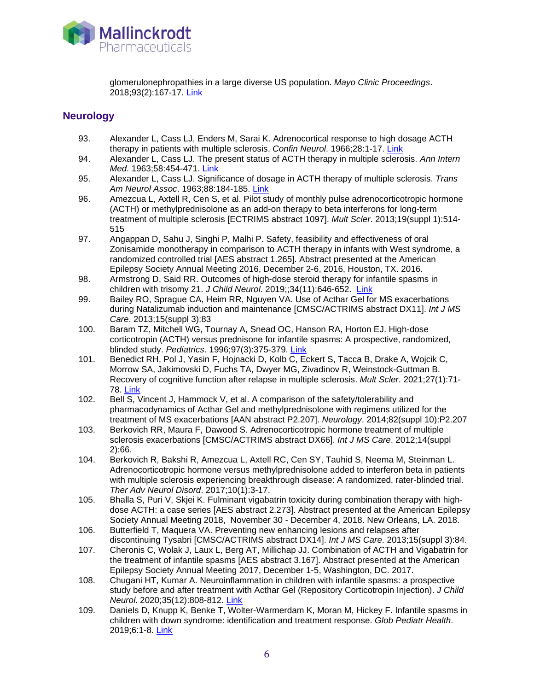

glomerulonephropathies in a large diverse US population. *Mayo Clinic Proceedings*. 2018;93(2):167-17. [Link](https://www.ncbi.nlm.nih.gov/pubmed/29395351)

### **Neurology**

- 93. Alexander L, Cass LJ, Enders M, Sarai K. Adrenocortical response to high dosage ACTH therapy in patients with multiple sclerosis. *Confin Neurol*. 1966;28:1-17. [Link](http://www.ncbi.nlm.nih.gov/pubmed/4290212)
- 94. Alexander L, Cass LJ. The present status of ACTH therapy in multiple sclerosis. *Ann Intern Med*. 1963;58:454-471. [Link](http://www.ncbi.nlm.nih.gov/pubmed/14011963)
- 95. Alexander L, Cass LJ. Significance of dosage in ACTH therapy of multiple sclerosis. *Trans Am Neurol Assoc*. 1963;88:184-185. [Link](http://www.ncbi.nlm.nih.gov/pubmed/14272213)
- 96. Amezcua L, Axtell R, Cen S, et al. Pilot study of monthly pulse adrenocorticotropic hormone (ACTH) or methylprednisolone as an add-on therapy to beta interferons for long-term treatment of multiple sclerosis [ECTRIMS abstract 1097]. *Mult Scler*. 2013;19(suppl 1):514- 515
- 97. Angappan D, Sahu J, Singhi P, Malhi P. Safety, feasibility and effectiveness of oral Zonisamide monotherapy in comparison to ACTH therapy in infants with West syndrome, a randomized controlled trial [AES abstract 1.265]. Abstract presented at the American Epilepsy Society Annual Meeting 2016, December 2-6, 2016, Houston, TX. 2016.
- 98. Armstrong D, Said RR. Outcomes of high-dose steroid therapy for infantile spasms in children with trisomy 21. *J Child Neurol*. 2019;;34(11):646-652. [Link](https://www.ncbi.nlm.nih.gov/pubmed/31113280)
- 99. Bailey RO, Sprague CA, Heim RR, Nguyen VA. Use of Acthar Gel for MS exacerbations during Natalizumab induction and maintenance [CMSC/ACTRIMS abstract DX11]. *Int J MS Care*. 2013;15(suppl 3):83
- 100. Baram TZ, Mitchell WG, Tournay A, Snead OC, Hanson RA, Horton EJ. High-dose corticotropin (ACTH) versus prednisone for infantile spasms: A prospective, randomized, blinded study. *Pediatrics*. 1996;97(3):375-379. [Link](http://www.ncbi.nlm.nih.gov/pubmed/8604274)
- 101. Benedict RH, Pol J, Yasin F, Hojnacki D, Kolb C, Eckert S, Tacca B, Drake A, Wojcik C, Morrow SA, Jakimovski D, Fuchs TA, Dwyer MG, Zivadinov R, Weinstock-Guttman B. Recovery of cognitive function after relapse in multiple sclerosis. *Mult Scler*. 2021;27(1):71- 78. [Link](https://www.ncbi.nlm.nih.gov/pubmed/31971066)
- 102. Bell S, Vincent J, Hammock V, et al. A comparison of the safety/tolerability and pharmacodynamics of Acthar Gel and methylprednisolone with regimens utilized for the treatment of MS exacerbations [AAN abstract P2.207]. *Neurology*. 2014;82(suppl 10):P2.207
- 103. Berkovich RR, Maura F, Dawood S. Adrenocorticotropic hormone treatment of multiple sclerosis exacerbations [CMSC/ACTRIMS abstract DX66]. *Int J MS Care*. 2012;14(suppl 2):66.
- 104. Berkovich R, Bakshi R, Amezcua L, Axtell RC, Cen SY, Tauhid S, Neema M, Steinman L. Adrenocorticotropic hormone versus methylprednisolone added to interferon beta in patients with multiple sclerosis experiencing breakthrough disease: A randomized, rater-blinded trial. *Ther Adv Neurol Disord*. 2017;10(1):3-17.
- 105. Bhalla S, Puri V, Skjei K. Fulminant vigabatrin toxicity during combination therapy with highdose ACTH: a case series [AES abstract 2.273]. Abstract presented at the American Epilepsy Society Annual Meeting 2018, November 30 - December 4, 2018. New Orleans, LA. 2018.
- 106. Butterfield T, Maquera VA. Preventing new enhancing lesions and relapses after discontinuing Tysabri [CMSC/ACTRIMS abstract DX14]. *Int J MS Care*. 2013;15(suppl 3):84.
- 107. Cheronis C, Wolak J, Laux L, Berg AT, Millichap JJ. Combination of ACTH and Vigabatrin for the treatment of infantile spasms [AES abstract 3.167]. Abstract presented at the American Epilepsy Society Annual Meeting 2017, December 1-5, Washington, DC. 2017.
- 108. Chugani HT, Kumar A. Neuroinflammation in children with infantile spasms: a prospective study before and after treatment with Acthar Gel (Repository Corticotropin Injection). *J Child Neurol*. 2020;35(12):808-812. [Link](https://pubmed.ncbi.nlm.nih.gov/32576069/)
- 109. Daniels D, Knupp K, Benke T, Wolter-Warmerdam K, Moran M, Hickey F. Infantile spasms in children with down syndrome: identification and treatment response. *Glob Pediatr Health*. 2019;6:1-8. [Link](https://www.ncbi.nlm.nih.gov/pubmed/30671494)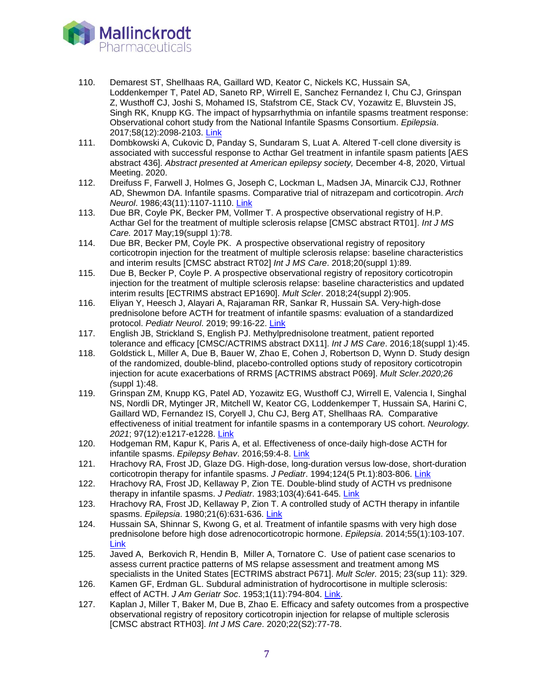

- 110. Demarest ST, Shellhaas RA, Gaillard WD, Keator C, Nickels KC, Hussain SA, Loddenkemper T, Patel AD, Saneto RP, Wirrell E, Sanchez Fernandez I, Chu CJ, Grinspan Z, Wusthoff CJ, Joshi S, Mohamed IS, Stafstrom CE, Stack CV, Yozawitz E, Bluvstein JS, Singh RK, Knupp KG. The impact of hypsarrhythmia on infantile spasms treatment response: Observational cohort study from the National Infantile Spasms Consortium. *Epilepsia*. 2017;58(12):2098-2103. [Link](https://www.ncbi.nlm.nih.gov/pubmed/29105055)
- 111. Dombkowski A, Cukovic D, Panday S, Sundaram S, Luat A. Altered T-cell clone diversity is associated with successful response to Acthar Gel treatment in infantile spasm patients [AES abstract 436]. *Abstract presented at American epilepsy society,* December 4-8, 2020, Virtual Meeting. 2020.
- 112. Dreifuss F, Farwell J, Holmes G, Joseph C, Lockman L, Madsen JA, Minarcik CJJ, Rothner AD, Shewmon DA. Infantile spasms. Comparative trial of nitrazepam and corticotropin. *Arch Neurol*. 1986;43(11):1107-1110. [Link](https://www.ncbi.nlm.nih.gov/pubmed/3022694)
- 113. Due BR, Coyle PK, Becker PM, Vollmer T. A prospective observational registry of H.P. Acthar Gel for the treatment of multiple sclerosis relapse [CMSC abstract RT01]. *Int J MS Care.* 2017 May;19(suppl 1):78.
- 114. Due BR, Becker PM, Coyle PK. A prospective observational registry of repository corticotropin injection for the treatment of multiple sclerosis relapse: baseline characteristics and interim results [CMSC abstract RT02] *Int J MS Care*. 2018;20(suppl 1):89.
- 115. Due B, Becker P, Coyle P. A prospective observational registry of repository corticotropin injection for the treatment of multiple sclerosis relapse: baseline characteristics and updated interim results [ECTRIMS abstract EP1690]. *Mult Scler*. 2018;24(suppl 2):905.
- 116. Eliyan Y, Heesch J, Alayari A, Rajaraman RR, Sankar R, Hussain SA. Very-high-dose prednisolone before ACTH for treatment of infantile spasms: evaluation of a standardized protocol. *Pediatr Neurol*. 2019; 99:16-22. [Link](https://www.ncbi.nlm.nih.gov/pubmed/31331669)
- 117. English JB, Strickland S, English PJ. Methylprednisolone treatment, patient reported tolerance and efficacy [CMSC/ACTRIMS abstract DX11]. *Int J MS Care*. 2016;18(suppl 1):45.
- 118. Goldstick L, Miller A, Due B, Bauer W, Zhao E, Cohen J, Robertson D, Wynn D. Study design of the randomized, double-blind, placebo-controlled options study of repository corticotropin injection for acute exacerbations of RRMS [ACTRIMS abstract P069]. *Mult Scler.2020;26 (*suppl 1):48.
- 119. Grinspan ZM, Knupp KG, Patel AD, Yozawitz EG, Wusthoff CJ, Wirrell E, Valencia I, Singhal NS, Nordli DR, Mytinger JR, Mitchell W, Keator CG, Loddenkemper T, Hussain SA, Harini C, Gaillard WD, Fernandez IS, Coryell J, Chu CJ, Berg AT, Shellhaas RA. Comparative effectiveness of initial treatment for infantile spasms in a contemporary US cohort. *Neurology. 2021*; 97(12):e1217-e1228. [Link](https://pubmed.ncbi.nlm.nih.gov/34266919/)
- 120. Hodgeman RM, Kapur K, Paris A, et al. Effectiveness of once-daily high-dose ACTH for infantile spasms. *Epilepsy Behav*. 2016;59:4-8. [Link](http://www.ncbi.nlm.nih.gov/pubmed/27084976)
- 121. Hrachovy RA, Frost JD, Glaze DG. High-dose, long-duration versus low-dose, short-duration corticotropin therapy for infantile spasms. *J Pediatr*. 1994;124(5 Pt.1):803-806. [Link](http://www.ncbi.nlm.nih.gov/pubmed/8176573)
- 122. Hrachovy RA, Frost JD, Kellaway P, Zion TE. Double-blind study of ACTH vs prednisone therapy in infantile spasms. *J Pediatr*. 1983;103(4):641-645. [Link](http://www.ncbi.nlm.nih.gov/pubmed/6312008)
- 123. Hrachovy RA, Frost JD, Kellaway P, Zion T. A controlled study of ACTH therapy in infantile spasms. *Epilepsia*. 1980;21(6):631-636. [Link](http://www.ncbi.nlm.nih.gov/pubmed/6254755)
- 124. Hussain SA, Shinnar S, Kwong G, et al. Treatment of infantile spasms with very high dose prednisolone before high dose adrenocorticotropic hormone. *Epilepsia*. 2014;55(1):103-107. [Link](http://www.ncbi.nlm.nih.gov/pubmed/24446954)
- 125. Javed A, Berkovich R, Hendin B, Miller A, Tornatore C. Use of patient case scenarios to assess current practice patterns of MS relapse assessment and treatment among MS specialists in the United States [ECTRIMS abstract P671]. *Mult Scler.* 2015; 23(sup 11): 329.
- 126. Kamen GF, Erdman GL. Subdural administration of hydrocortisone in multiple sclerosis: effect of ACTH. *J Am Geriatr Soc*. 1953;1(11):794-804. [Link.](https://www.ncbi.nlm.nih.gov/pubmed/13108563)
- 127. Kaplan J, Miller T, Baker M, Due B, Zhao E. Efficacy and safety outcomes from a prospective observational registry of repository corticotropin injection for relapse of multiple sclerosis [CMSC abstract RTH03]. *Int J MS Care*. 2020;22(S2):77-78.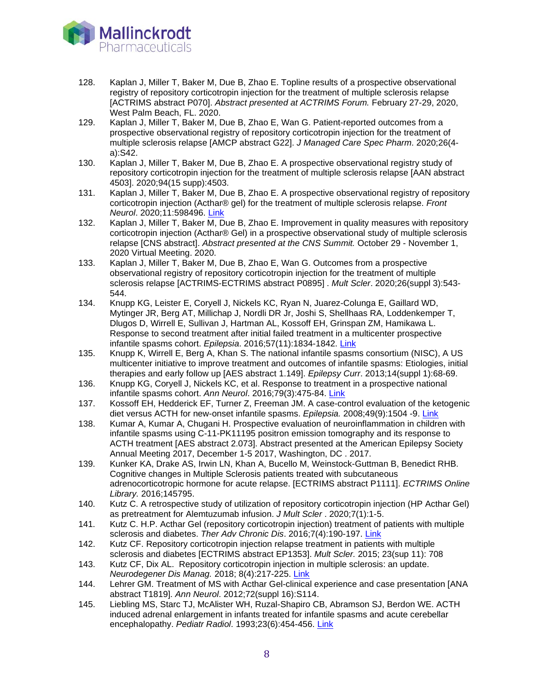

- 128. Kaplan J, Miller T, Baker M, Due B, Zhao E. Topline results of a prospective observational registry of repository corticotropin injection for the treatment of multiple sclerosis relapse [ACTRIMS abstract P070]. *Abstract presented at ACTRIMS Forum.* February 27-29, 2020, West Palm Beach, FL. 2020.
- 129. Kaplan J, Miller T, Baker M, Due B, Zhao E, Wan G. Patient-reported outcomes from a prospective observational registry of repository corticotropin injection for the treatment of multiple sclerosis relapse [AMCP abstract G22]. *J Managed Care Spec Pharm*. 2020;26(4 a):S42.
- 130. Kaplan J, Miller T, Baker M, Due B, Zhao E. A prospective observational registry study of repository corticotropin injection for the treatment of multiple sclerosis relapse [AAN abstract 4503]. 2020;94(15 supp):4503.
- 131. Kaplan J, Miller T, Baker M, Due B, Zhao E. A prospective observational registry of repository corticotropin injection (Acthar® gel) for the treatment of multiple sclerosis relapse. *Front Neurol*. 2020;11:598496. [Link](https://pubmed.ncbi.nlm.nih.gov/33414758/)
- 132. Kaplan J, Miller T, Baker M, Due B, Zhao E. Improvement in quality measures with repository corticotropin injection (Acthar® Gel) in a prospective observational study of multiple sclerosis relapse [CNS abstract]. *Abstract presented at the CNS Summit.* October 29 - November 1, 2020 Virtual Meeting. 2020.
- 133. Kaplan J, Miller T, Baker M, Due B, Zhao E, Wan G. Outcomes from a prospective observational registry of repository corticotropin injection for the treatment of multiple sclerosis relapse [ACTRIMS-ECTRIMS abstract P0895] . *Mult Scler*. 2020;26(suppl 3):543- 544.
- 134. Knupp KG, Leister E, Coryell J, Nickels KC, Ryan N, Juarez-Colunga E, Gaillard WD, Mytinger JR, Berg AT, Millichap J, Nordli DR Jr, Joshi S, Shellhaas RA, Loddenkemper T, Dlugos D, Wirrell E, Sullivan J, Hartman AL, Kossoff EH, Grinspan ZM, Hamikawa L. Response to second treatment after initial failed treatment in a multicenter prospective infantile spasms cohort. *Epilepsia*. 2016;57(11):1834-1842. [Link](https://www.ncbi.nlm.nih.gov/pubmed/27615012)
- 135. Knupp K, Wirrell E, Berg A, Khan S. The national infantile spasms consortium (NISC), A US multicenter initiative to improve treatment and outcomes of infantile spasms: Etiologies, initial therapies and early follow up [AES abstract 1.149]. *Epilepsy Curr*. 2013;14(suppl 1):68-69.
- 136. Knupp KG, Coryell J, Nickels KC, et al. Response to treatment in a prospective national infantile spasms cohort. *Ann Neurol*. 2016;79(3):475-84. [Link](https://www.ncbi.nlm.nih.gov/pubmed/26704170)
- 137. Kossoff EH, Hedderick EF, Turner Z, Freeman JM. A case-control evaluation of the ketogenic diet versus ACTH for new-onset infantile spasms. *Epilepsia.* 2008;49(9):1504 -9. Link
- 138. Kumar A, Kumar A, Chugani H. Prospective evaluation of neuroinflammation in children with infantile spasms using C-11-PK11195 positron emission tomography and its response to ACTH treatment [AES abstract 2.073]. Abstract presented at the American Epilepsy Society Annual Meeting 2017, December 1-5 2017, Washington, DC . 2017.
- 139. Kunker KA, Drake AS, Irwin LN, Khan A, Bucello M, Weinstock-Guttman B, Benedict RHB. Cognitive changes in Multiple Sclerosis patients treated with subcutaneous adrenocorticotropic hormone for acute relapse. [ECTRIMS abstract P1111]. *ECTRIMS Online Library.* 2016;145795.
- 140. Kutz C. A retrospective study of utilization of repository corticotropin injection (HP Acthar Gel) as pretreatment for Alemtuzumab infusion. *J Mult Scler* . 2020;7(1):1-5.
- 141. Kutz C. H.P. Acthar Gel (repository corticotropin injection) treatment of patients with multiple sclerosis and diabetes. *Ther Adv Chronic Dis*. 2016;7(4):190-197. [Link](http://www.ncbi.nlm.nih.gov/pubmed/27433309)
- 142. Kutz CF. Repository corticotropin injection relapse treatment in patients with multiple sclerosis and diabetes [ECTRIMS abstract EP1353]. *Mult Scler.* 2015; 23(sup 11): 708
- 143. Kutz CF, Dix AL. Repository corticotropin injection in multiple sclerosis: an update. *Neurodegener Dis Manag.* 2018; 8(4):217-225. [Link](https://www.ncbi.nlm.nih.gov/pubmed/29869572)
- 144. Lehrer GM. Treatment of MS with Acthar Gel-clinical experience and case presentation [ANA abstract T1819]. *Ann Neurol*. 2012;72(suppl 16):S114.
- 145. Liebling MS, Starc TJ, McAlister WH, Ruzal-Shapiro CB, Abramson SJ, Berdon WE. ACTH induced adrenal enlargement in infants treated for infantile spasms and acute cerebellar encephalopathy. *Pediatr Radiol*. 1993;23(6):454-456. [Link](https://www.ncbi.nlm.nih.gov/pubmed/8255650)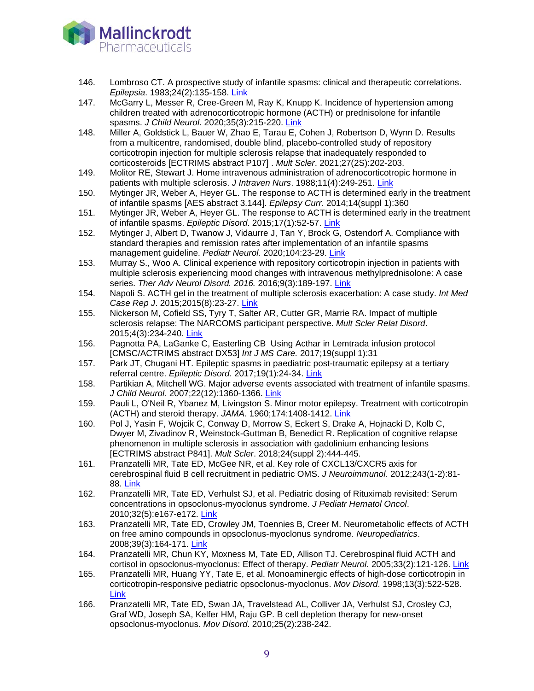

- 146. Lombroso CT. A prospective study of infantile spasms: clinical and therapeutic correlations. *Epilepsia*. 1983;24(2):135-158. [Link](https://www.ncbi.nlm.nih.gov/pubmed/6299719)
- 147. McGarry L, Messer R, Cree-Green M, Ray K, Knupp K. Incidence of hypertension among children treated with adrenocorticotropic hormone (ACTH) or prednisolone for infantile spasms. *J Child Neurol*. 2020;35(3):215-220. [Link](https://www.ncbi.nlm.nih.gov/pubmed/31769329)
- 148. Miller A, Goldstick L, Bauer W, Zhao E, Tarau E, Cohen J, Robertson D, Wynn D. Results from a multicentre, randomised, double blind, placebo-controlled study of repository corticotropin injection for multiple sclerosis relapse that inadequately responded to corticosteroids [ECTRIMS abstract P107] . *Mult Scler*. 2021;27(2S):202-203.
- 149. Molitor RE, Stewart J. Home intravenous administration of adrenocorticotropic hormone in patients with multiple sclerosis. *J Intraven Nurs*. 1988;11(4):249-251. [Link](http://www.ncbi.nlm.nih.gov/pubmed/2843618)
- 150. Mytinger JR, Weber A, Heyer GL. The response to ACTH is determined early in the treatment of infantile spasms [AES abstract 3.144]. *Epilepsy Curr*. 2014;14(suppl 1):360
- 151. Mytinger JR, Weber A, Heyer GL. The response to ACTH is determined early in the treatment of infantile spasms. *Epileptic Disord*. 2015;17(1):52-57. [Link](http://www.ncbi.nlm.nih.gov/pubmed/25644547)
- 152. Mytinger J, Albert D, Twanow J, Vidaurre J, Tan Y, Brock G, Ostendorf A. Compliance with standard therapies and remission rates after implementation of an infantile spasms management guideline. *Pediatr Neurol*. 2020;104:23-29. [Link](https://www.ncbi.nlm.nih.gov/pubmed/31911027)
- 153. Murray S., Woo A. Clinical experience with repository corticotropin injection in patients with multiple sclerosis experiencing mood changes with intravenous methylprednisolone: A case series. *Ther Adv Neurol Disord. 2016.* 2016;9(3):189-197. [Link](https://www.ncbi.nlm.nih.gov/pubmed/27134674)
- 154. Napoli S. ACTH gel in the treatment of multiple sclerosis exacerbation: A case study. *Int Med Case Rep J*. 2015;2015(8):23-27. [Link](http://www.ncbi.nlm.nih.gov/pubmed/25678826)
- 155. Nickerson M, Cofield SS, Tyry T, Salter AR, Cutter GR, Marrie RA. Impact of multiple sclerosis relapse: The NARCOMS participant perspective. *Mult Scler Relat Disord*. 2015;4(3):234-240. [Link](http://www.ncbi.nlm.nih.gov/pubmed/26008940)
- 156. Pagnotta PA, LaGanke C, Easterling CB Using Acthar in Lemtrada infusion protocol [CMSC/ACTRIMS abstract DX53] *Int J MS Care.* 2017;19(suppl 1):31
- 157. Park JT, Chugani HT. Epileptic spasms in paediatric post-traumatic epilepsy at a tertiary referral centre. *Epileptic Disord*. 2017;19(1):24-34. [Link](https://www.ncbi.nlm.nih.gov/pubmed/28316319)
- 158. Partikian A, Mitchell WG. Major adverse events associated with treatment of infantile spasms. *J Child Neurol*. 2007;22(12):1360-1366. [Link](http://www.ncbi.nlm.nih.gov/pubmed/18174552)
- 159. Pauli L, O'Neil R, Ybanez M, Livingston S. Minor motor epilepsy. Treatment with corticotropin (ACTH) and steroid therapy. *JAMA*. 1960;174:1408-1412. [Link](http://www.ncbi.nlm.nih.gov/pubmed/13733481)
- 160. Pol J, Yasin F, Wojcik C, Conway D, Morrow S, Eckert S, Drake A, Hojnacki D, Kolb C, Dwyer M, Zivadinov R, Weinstock-Guttman B, Benedict R. Replication of cognitive relapse phenomenon in multiple sclerosis in association with gadolinium enhancing lesions [ECTRIMS abstract P841]. *Mult Scler*. 2018;24(suppl 2):444-445.
- 161. Pranzatelli MR, Tate ED, McGee NR, et al. Key role of CXCL13/CXCR5 axis for cerebrospinal fluid B cell recruitment in pediatric OMS. *J Neuroimmunol*. 2012;243(1-2):81- 88. [Link](http://www.ncbi.nlm.nih.gov/pubmed/22264765)
- 162. Pranzatelli MR, Tate ED, Verhulst SJ, et al. Pediatric dosing of Rituximab revisited: Serum concentrations in opsoclonus-myoclonus syndrome. *J Pediatr Hematol Oncol*. 2010;32(5):e167-e172. [Link](http://www.ncbi.nlm.nih.gov/pubmed/20606544)
- 163. Pranzatelli MR, Tate ED, Crowley JM, Toennies B, Creer M. Neurometabolic effects of ACTH on free amino compounds in opsoclonus-myoclonus syndrome. *Neuropediatrics*. 2008;39(3):164-171. [Link](http://www.ncbi.nlm.nih.gov/pubmed/18991196)
- 164. Pranzatelli MR, Chun KY, Moxness M, Tate ED, Allison TJ. Cerebrospinal fluid ACTH and cortisol in opsoclonus-myoclonus: Effect of therapy. *Pediatr Neurol*. 2005;33(2):121-126. [Link](http://www.ncbi.nlm.nih.gov/pubmed/16087057)
- 165. Pranzatelli MR, Huang YY, Tate E, et al. Monoaminergic effects of high-dose corticotropin in corticotropin-responsive pediatric opsoclonus-myoclonus. *Mov Disord*. 1998;13(3):522-528. [Link](http://www.ncbi.nlm.nih.gov/pubmed/9613746)
- 166. Pranzatelli MR, Tate ED, Swan JA, Travelstead AL, Colliver JA, Verhulst SJ, Crosley CJ, Graf WD, Joseph SA, Kelfer HM, Raju GP. B cell depletion therapy for new-onset opsoclonus-myoclonus. *Mov Disord*. 2010;25(2):238-242.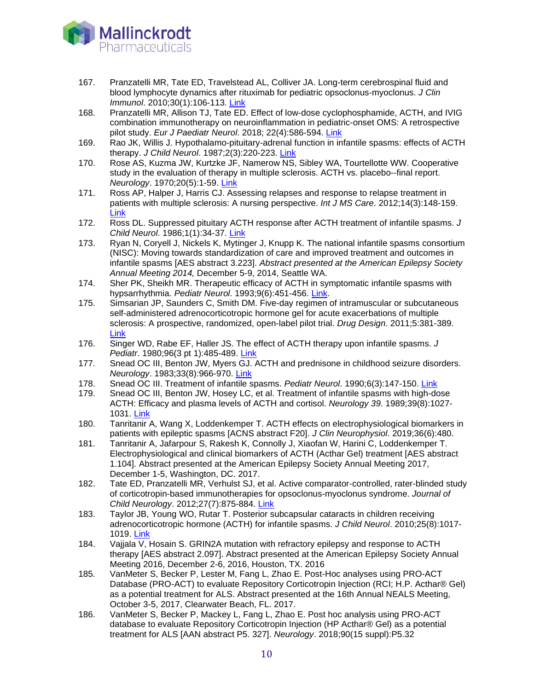

- 167. 167. Pranzatelli MR, Tate ED, Travelstead AL, Colliver JA. Long-term cerebrospinal fluid and blood lymphocyte dynamics after rituximab for pediatric opsoclonus-myoclonus. *J Clin Immunol*. 2010;30(1):106-113. [Link](https://www.ncbi.nlm.nih.gov/pubmed/19258290)
- 168. Pranzatelli MR, Allison TJ, Tate ED. Effect of low-dose cyclophosphamide, ACTH, and IVIG combination immunotherapy on neuroinflammation in pediatric-onset OMS: A retrospective pilot study. *Eur J Paediatr Neurol*. 2018; 22(4):586-594. [Link](https://www.ncbi.nlm.nih.gov/pubmed/29555260)
- 169. Rao JK, Willis J. Hypothalamo-pituitary-adrenal function in infantile spasms: effects of ACTH therapy. *J Child Neurol*. 1987;2(3):220-223. [Link](https://www.ncbi.nlm.nih.gov/pubmed/4321736)
- 170. Rose AS, Kuzma JW, Kurtzke JF, Namerow NS, Sibley WA, Tourtellotte WW. Cooperative study in the evaluation of therapy in multiple sclerosis. ACTH vs. placebo--final report. *Neurology*. 1970;20(5):1-59. [Link](http://www.ncbi.nlm.nih.gov/pubmed/4314823)
- 171. Ross AP, Halper J, Harris CJ. Assessing relapses and response to relapse treatment in patients with multiple sclerosis: A nursing perspective. *Int J MS Care*. 2012;14(3):148-159. [Link](http://www.ncbi.nlm.nih.gov/pubmed/24453746)
- 172. Ross DL. Suppressed pituitary ACTH response after ACTH treatment of infantile spasms. *J Child Neurol*. 1986;1(1):34-37. [Link](http://www.ncbi.nlm.nih.gov/pubmed/3036933)
- 173. Ryan N, Coryell J, Nickels K, Mytinger J, Knupp K. The national infantile spasms consortium (NISC): Moving towards standardization of care and improved treatment and outcomes in infantile spasms [AES abstract 3.223]. *Abstract presented at the American Epilepsy Society Annual Meeting 2014,* December 5-9, 2014, Seattle WA.
- 174. Sher PK, Sheikh MR. Therapeutic efficacy of ACTH in symptomatic infantile spasms with hypsarrhythmia. *Pediatr Neurol*. 1993;9(6):451-456. [Link.](https://www.ncbi.nlm.nih.gov/pubmed/7605553)
- 175. Simsarian JP, Saunders C, Smith DM. Five-day regimen of intramuscular or subcutaneous self-administered adrenocorticotropic hormone gel for acute exacerbations of multiple sclerosis: A prospective, randomized, open-label pilot trial. *Drug Design*. 2011;5:381-389. [Link](http://www.ncbi.nlm.nih.gov/pubmed/21792296)
- 176. Singer WD, Rabe EF, Haller JS. The effect of ACTH therapy upon infantile spasms. *J Pediatr*. 1980;96(3 pt 1):485-489. [Link](https://www.ncbi.nlm.nih.gov/pubmed/6244378)
- 177. Snead OC III, Benton JW, Myers GJ. ACTH and prednisone in childhood seizure disorders. *Neurology*. 1983;33(8):966-970. [Link](http://www.ncbi.nlm.nih.gov/pubmed/6308515)
- 178. Snead OC III. Treatment of infantile spasms. *Pediatr Neurol*. 1990;6(3):147-150. [Link](http://www.ncbi.nlm.nih.gov/pubmed/2163254)
- 179. Snead OC III, Benton JW, Hosey LC, et al. Treatment of infantile spasms with high-dose ACTH: Efficacy and plasma levels of ACTH and cortisol. *Neurology 39*. 1989;39(8):1027- 1031. [Link](http://www.ncbi.nlm.nih.gov/pubmed/2548119)
- 180. Tanritanir A, Wang X, Loddenkemper T. ACTH effects on electrophysiological biomarkers in patients with epileptic spasms [ACNS abstract F20]. *J Clin Neurophysiol*. 2019;36(6):480.
- 181. Tanritanir A, Jafarpour S, Rakesh K, Connolly J, Xiaofan W, Harini C, Loddenkemper T. Electrophysiological and clinical biomarkers of ACTH (Acthar Gel) treatment [AES abstract 1.104]. Abstract presented at the American Epilepsy Society Annual Meeting 2017, December 1-5, Washington, DC. 2017.
- 182. Tate ED, Pranzatelli MR, Verhulst SJ, et al. Active comparator-controlled, rater-blinded study of corticotropin-based immunotherapies for opsoclonus-myoclonus syndrome. *Journal of Child Neurology*. 2012;27(7):875-884. [Link](http://www.ncbi.nlm.nih.gov/pubmed/22378659)
- 183. Taylor JB, Young WO, Rutar T. Posterior subcapsular cataracts in children receiving adrenocorticotropic hormone (ACTH) for infantile spasms. *J Child Neurol*. 2010;25(8):1017- 1019. [Link](http://www.ncbi.nlm.nih.gov/pubmed/20110219)
- 184. Vajjala V, Hosain S. GRIN2A mutation with refractory epilepsy and response to ACTH therapy [AES abstract 2.097]. Abstract presented at the American Epilepsy Society Annual Meeting 2016, December 2-6, 2016, Houston, TX. 2016
- 185. VanMeter S, Becker P, Lester M, Fang L, Zhao E. Post-Hoc analyses using PRO-ACT Database (PRO-ACT) to evaluate Repository Corticotropin Injection (RCI; H.P. Acthar® Gel) as a potential treatment for ALS. Abstract presented at the 16th Annual NEALS Meeting, October 3-5, 2017, Clearwater Beach, FL. 2017.
- 186. VanMeter S, Becker P, Mackey L, Fang L, Zhao E. Post hoc analysis using PRO-ACT database to evaluate Repository Corticotropin Injection (HP Acthar® Gel) as a potential treatment for ALS [AAN abstract P5. 327]. *Neurology*. 2018;90(15 suppl):P5.32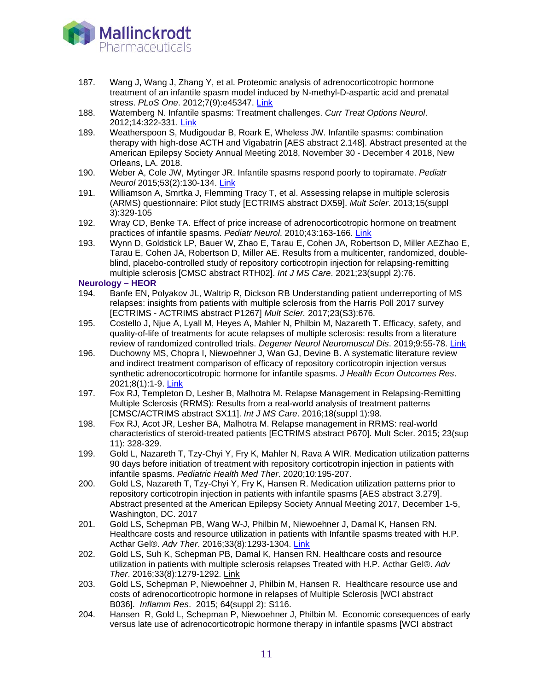

- 187. Wang J, Wang J, Zhang Y, et al. Proteomic analysis of adrenocorticotropic hormone treatment of an infantile spasm model induced by N-methyl-D-aspartic acid and prenatal stress. *PLoS One*. 2012;7(9):e45347. [Link](http://www.ncbi.nlm.nih.gov/pubmed/23028951)
- 188. Watemberg N. Infantile spasms: Treatment challenges. *Curr Treat Options Neurol*. 2012;14:322-331. [Link](http://www.ncbi.nlm.nih.gov/pubmed/22581010)
- 189. Weatherspoon S, Mudigoudar B, Roark E, Wheless JW. Infantile spasms: combination therapy with high-dose ACTH and Vigabatrin [AES abstract 2.148]. Abstract presented at the American Epilepsy Society Annual Meeting 2018, November 30 - December 4 2018, New Orleans, LA. 2018.
- 190. Weber A, Cole JW, Mytinger JR. Infantile spasms respond poorly to topiramate. *Pediatr Neurol* 2015;53(2):130-134. [Link](http://www.ncbi.nlm.nih.gov/pubmed/26068002)
- 191. Williamson A, Smrtka J, Flemming Tracy T, et al. Assessing relapse in multiple sclerosis (ARMS) questionnaire: Pilot study [ECTRIMS abstract DX59]. *Mult Scler*. 2013;15(suppl 3):329-105
- 192. Wray CD, Benke TA. Effect of price increase of adrenocorticotropic hormone on treatment practices of infantile spasms. *Pediatr Neurol*. 2010;43:163-166. [Link](http://www.ncbi.nlm.nih.gov/pubmed/20691936)
- 193. Wynn D, Goldstick LP, Bauer W, Zhao E, Tarau E, Cohen JA, Robertson D, Miller AEZhao E, Tarau E, Cohen JA, Robertson D, Miller AE. Results from a multicenter, randomized, doubleblind, placebo-controlled study of repository corticotropin injection for relapsing-remitting multiple sclerosis [CMSC abstract RTH02]. *Int J MS Care*. 2021;23(suppl 2):76.

### **Neurology – HEOR**

- 194. Banfe EN, Polyakov JL, Waltrip R, Dickson RB Understanding patient underreporting of MS relapses: insights from patients with multiple sclerosis from the Harris Poll 2017 survey [ECTRIMS - ACTRIMS abstract P1267] *Mult Scler.* 2017;23(S3):676.
- 195. Costello J, Njue A, Lyall M, Heyes A, Mahler N, Philbin M, Nazareth T. Efficacy, safety, and quality-of-life of treatments for acute relapses of multiple sclerosis: results from a literature review of randomized controlled trials. *Degener Neurol Neuromuscul Dis*. 2019;9:55-78. [Link](https://www.ncbi.nlm.nih.gov/pubmed/31308790)
- 196. Duchowny MS, Chopra I, Niewoehner J, Wan GJ, Devine B. A systematic literature review and indirect treatment comparison of efficacy of repository corticotropin injection versus synthetic adrenocorticotropic hormone for infantile spasms. *J Health Econ Outcomes Res*. 2021;8(1):1-9. [Link](https://pubmed.ncbi.nlm.nih.gov/33521161)
- 197. Fox RJ, Templeton D, Lesher B, Malhotra M. Relapse Management in Relapsing-Remitting Multiple Sclerosis (RRMS): Results from a real-world analysis of treatment patterns [CMSC/ACTRIMS abstract SX11]. *Int J MS Care*. 2016;18(suppl 1):98.
- 198. Fox RJ, Acot JR, Lesher BA, Malhotra M. Relapse management in RRMS: real-world characteristics of steroid-treated patients [ECTRIMS abstract P670]. Mult Scler. 2015; 23(sup 11): 328-329.
- 199. Gold L, Nazareth T, Tzy-Chyi Y, Fry K, Mahler N, Rava A WIR. Medication utilization patterns 90 days before initiation of treatment with repository corticotropin injection in patients with infantile spasms. *Pediatric Health Med Ther*. 2020;10:195-207.
- 200. Gold LS, Nazareth T, Tzy-Chyi Y, Fry K, Hansen R. Medication utilization patterns prior to repository corticotropin injection in patients with infantile spasms [AES abstract 3.279]. Abstract presented at the American Epilepsy Society Annual Meeting 2017, December 1-5, Washington, DC. 2017
- 201. Gold LS, Schepman PB, Wang W-J, Philbin M, Niewoehner J, Damal K, Hansen RN. Healthcare costs and resource utilization in patients with Infantile spasms treated with H.P. Acthar Gel®. *Adv Ther*. 2016;33(8):1293-1304. [Link](http://www.ncbi.nlm.nih.gov/pubmed/27324137)
- 202. Gold LS, Suh K, Schepman PB, Damal K, Hansen RN. Healthcare costs and resource utilization in patients with multiple sclerosis relapses Treated with H.P. Acthar Gel®. *Adv Ther*. 2016;33(8):1279-1292. [Link](https://www.ncbi.nlm.nih.gov/pubmed/27312977)
- 203. Gold LS, Schepman P, Niewoehner J, Philbin M, Hansen R. Healthcare resource use and costs of adrenocorticotropic hormone in relapses of Multiple Sclerosis [WCI abstract B036]. *Inflamm Res*. 2015; 64(suppl 2): S116.
- 204. Hansen R, Gold L, Schepman P, Niewoehner J, Philbin M. Economic consequences of early versus late use of adrenocorticotropic hormone therapy in infantile spasms [WCI abstract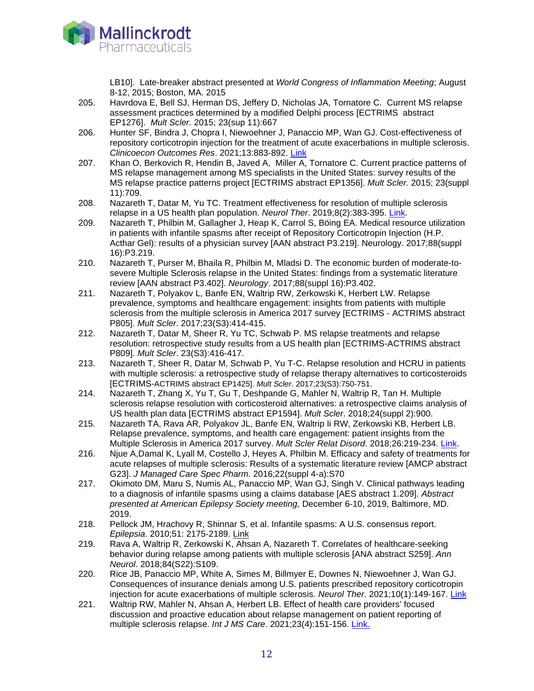

LB10]. Late-breaker abstract presented at *World Congress of Inflammation Meeting*; August 8-12, 2015; Boston, MA. 2015

- 205. Havrdova E, Bell SJ, Herman DS, Jeffery D, Nicholas JA, Tornatore C. Current MS relapse assessment practices determined by a modified Delphi process [ECTRIMS abstract EP1276]. *Mult Scler.* 2015; 23(sup 11):667
- 206. Hunter SF, Bindra J, Chopra I, Niewoehner J, Panaccio MP, Wan GJ. Cost-effectiveness of repository corticotropin injection for the treatment of acute exacerbations in multiple sclerosis. *Clinicoecon Outcomes Res*. 2021;13:883-892. [Link](https://www.pubmed.gov/34675568)
- 207. Khan O, Berkovich R, Hendin B, Javed A, Miller A, Tornatore C. Current practice patterns of MS relapse management among MS specialists in the United States: survey results of the MS relapse practice patterns project [ECTRIMS abstract EP1356]. *Mult Scler.* 2015; 23(suppl 11):709.
- 208. Nazareth T, Datar M, Yu TC. Treatment effectiveness for resolution of multiple sclerosis relapse in a US health plan population. *Neurol Ther*. 2019;8(2):383-395. [Link.](https://www.ncbi.nlm.nih.gov/pubmed/31564036)
- 209. Nazareth T, Philbin M, Gallagher J, Heap K, Carrol S, Böing EA. Medical resource utilization in patients with infantile spasms after receipt of Repository Corticotropin Injection (H.P. Acthar Gel): results of a physician survey [AAN abstract P3.219]. Neurology. 2017;88(suppl 16):P3.219.
- 210. Nazareth T, Purser M, Bhaila R, Philbin M, Mladsi D. The economic burden of moderate-tosevere Multiple Sclerosis relapse in the United States: findings from a systematic literature review [AAN abstract P3.402]. *Neurology*. 2017;88(suppl 16):P3.402.
- 211. Nazareth T, Polyakov L, Banfe EN, Waltrip RW, Zerkowski K, Herbert LW. Relapse prevalence, symptoms and healthcare engagement: insights from patients with multiple sclerosis from the multiple sclerosis in America 2017 survey [ECTRIMS - ACTRIMS abstract P805]. *Mult Scler*. 2017;23(S3):414-415.
- 212. Nazareth T, Datar M, Sheer R, Yu TC, Schwab P. MS relapse treatments and relapse resolution: retrospective study results from a US health plan [ECTRIMS-ACTRIMS abstract P809]. *Mult Scler*. 23(S3):416-417.
- 213. Nazareth T, Sheer R, Datar M, Schwab P, Yu T-C. Relapse resolution and HCRU in patients with multiple sclerosis: a retrospective study of relapse therapy alternatives to corticosteroids [ECTRIMS-ACTRIMS abstract EP1425]. *Mult Scler*. 2017;23(S3):750-751.
- 214. Nazareth T, Zhang X, Yu T, Gu T, Deshpande G, Mahler N, Waltrip R, Tan H. Multiple sclerosis relapse resolution with corticosteroid alternatives: a retrospective claims analysis of US health plan data [ECTRIMS abstract EP1594]. *Mult Scler*. 2018;24(suppl 2):900.
- 215. Nazareth TA, Rava AR, Polyakov JL, Banfe EN, Waltrip Ii RW, Zerkowski KB, Herbert LB. Relapse prevalence, symptoms, and health care engagement: patient insights from the Multiple Sclerosis in America 2017 survey. *Mult Scler Relat Disord*. 2018;26:219-234. [Link.](https://www.ncbi.nlm.nih.gov/pubmed/30368080)
- 216. Njue A,Damal K, Lyall M, Costello J, Heyes A, Philbin M. Efficacy and safety of treatments for acute relapses of multiple sclerosis: Results of a systematic literature review [AMCP abstract G23]. *J Managed Care Spec Pharm*. 2016;22(suppl 4-a):S70
- 217. Okimoto DM, Maru S, Numis AL, Panaccio MP, Wan GJ, Singh V. Clinical pathways leading to a diagnosis of infantile spasms using a claims database [AES abstract 1.209]. *Abstract presented at American Epilepsy Society meeting,* December 6-10, 2019, Baltimore, MD. 2019.
- 218. Pellock JM, Hrachovy R, Shinnar S, et al. Infantile spasms: A U.S. consensus report. *Epilepsia*. 2010;51: 2175-2189. [Link](http://www.ncbi.nlm.nih.gov/pubmed/20608959)
- 219. Rava A, Waltrip R, Zerkowski K, Ahsan A, Nazareth T. Correlates of healthcare-seeking behavior during relapse among patients with multiple sclerosis [ANA abstract S259]. *Ann Neurol*. 2018;84(S22):S109.
- 220. Rice JB, Panaccio MP, White A, Simes M, Billmyer E, Downes N, Niewoehner J, Wan GJ. Consequences of insurance denials among U.S. patients prescribed repository corticotropin injection for acute exacerbations of multiple sclerosis. *Neurol Ther*. 2021;10(1):149-167. [Link](https://pubmed.ncbi.nlm.nih.gov/33170434)
- 221. Waltrip RW, Mahler N, Ahsan A, Herbert LB. Effect of health care providers' focused discussion and proactive education about relapse management on patient reporting of multiple sclerosis relapse. *Int J MS Care*. 2021;23(4):151-156. [Link.](https://pubmed.ncbi.nlm.nih.gov/34483753/)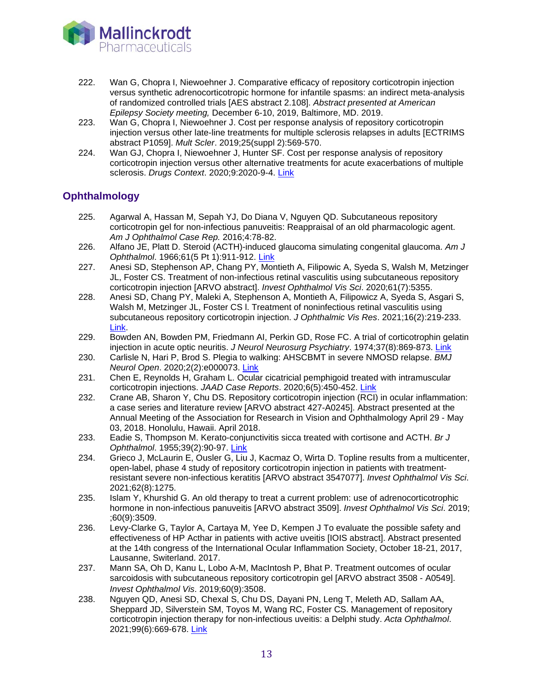

- 222. Wan G, Chopra I, Niewoehner J. Comparative efficacy of repository corticotropin injection versus synthetic adrenocorticotropic hormone for infantile spasms: an indirect meta-analysis of randomized controlled trials [AES abstract 2.108]. *Abstract presented at American Epilepsy Society meeting,* December 6-10, 2019, Baltimore, MD. 2019.
- 223. Wan G, Chopra I, Niewoehner J. Cost per response analysis of repository corticotropin injection versus other late-line treatments for multiple sclerosis relapses in adults [ECTRIMS abstract P1059]. *Mult Scler*. 2019;25(suppl 2):569-570.
- 224. Wan GJ, Chopra I, Niewoehner J, Hunter SF. Cost per response analysis of repository corticotropin injection versus other alternative treatments for acute exacerbations of multiple sclerosis. *Drugs Context*. 2020;9:2020-9-4. [Link](https://pubmed.ncbi.nlm.nih.gov/33408750)

## **Ophthalmology**

- 225. Agarwal A, Hassan M, Sepah YJ, Do Diana V, Nguyen QD. Subcutaneous repository corticotropin gel for non-infectious panuveitis: Reappraisal of an old pharmacologic agent. *Am J Ophthalmol Case Rep.* 2016;4:78-82.
- 226. Alfano JE, Platt D. Steroid (ACTH)-induced glaucoma simulating congenital glaucoma. *Am J Ophthalmol*. 1966;61(5 Pt 1):911-912. [Link](https://www.ncbi.nlm.nih.gov/pubmed/16874997.)
- 227. Anesi SD, Stephenson AP, Chang PY, Montieth A, Filipowic A, Syeda S, Walsh M, Metzinger JL, Foster CS. Treatment of non-infectious retinal vasculitis using subcutaneous repository corticotropin injection [ARVO abstract]. *Invest Ophthalmol Vis Sci*. 2020;61(7):5355.
- 228. Anesi SD, Chang PY, Maleki A, Stephenson A, Montieth A, Filipowicz A, Syeda S, Asgari S, Walsh M, Metzinger JL, Foster CS l. Treatment of noninfectious retinal vasculitis using subcutaneous repository corticotropin injection. *J Ophthalmic Vis Res*. 2021;16(2):219-233. [Link.](https://pubmed.ncbi.nlm.nih.gov/34055260/)
- 229. Bowden AN, Bowden PM, Friedmann AI, Perkin GD, Rose FC. A trial of corticotrophin gelatin injection in acute optic neuritis. *J Neurol Neurosurg Psychiatry*. 1974;37(8):869-873. [Link](http://www.ncbi.nlm.nih.gov/pubmed/4371063)
- 230. Carlisle N, Hari P, Brod S. Plegia to walking: AHSCBMT in severe NMOSD relapse. *BMJ Neurol Open*. 2020;2(2):e000073. [Link](https://pubmed.ncbi.nlm.nih.gov/33681798)
- 231. Chen E, Reynolds H, Graham L. Ocular cicatricial pemphigoid treated with intramuscular corticotropin injections. *JAAD Case Reports*. 2020;6(5):450-452. [Link](https://pubmed.ncbi.nlm.nih.gov/32382644/)
- 232. Crane AB, Sharon Y, Chu DS. Repository corticotropin injection (RCI) in ocular inflammation: a case series and literature review [ARVO abstract 427-A0245]. Abstract presented at the Annual Meeting of the Association for Research in Vision and Ophthalmology April 29 - May 03, 2018. Honolulu, Hawaii. April 2018.
- 233. Eadie S, Thompson M. Kerato-conjunctivitis sicca treated with cortisone and ACTH. *Br J Ophthalmol*. 1955;39(2):90-97. [Link](http://www.ncbi.nlm.nih.gov/pubmed/14351670)
- 234. Grieco J, McLaurin E, Ousler G, Liu J, Kacmaz O, Wirta D. Topline results from a multicenter, open-label, phase 4 study of repository corticotropin injection in patients with treatmentresistant severe non-infectious keratitis [ARVO abstract 3547077]. *Invest Ophthalmol Vis Sci*. 2021;62(8):1275.
- 235. Islam Y, Khurshid G. An old therapy to treat a current problem: use of adrenocorticotrophic hormone in non-infectious panuveitis [ARVO abstract 3509]. *Invest Ophthalmol Vis Sci*. 2019; ;60(9):3509.
- 236. Levy-Clarke G, Taylor A, Cartaya M, Yee D, Kempen J To evaluate the possible safety and effectiveness of HP Acthar in patients with active uveitis [IOIS abstract]. Abstract presented at the 14th congress of the International Ocular Inflammation Society, October 18-21, 2017, Lausanne, Switerland. 2017.
- 237. Mann SA, Oh D, Kanu L, Lobo A-M, MacIntosh P, Bhat P. Treatment outcomes of ocular sarcoidosis with subcutaneous repository corticotropin gel [ARVO abstract 3508 - A0549]. *Invest Ophthalmol Vis*. 2019;60(9):3508.
- 238. Nguyen QD, Anesi SD, Chexal S, Chu DS, Dayani PN, Leng T, Meleth AD, Sallam AA, Sheppard JD, Silverstein SM, Toyos M, Wang RC, Foster CS. Management of repository corticotropin injection therapy for non-infectious uveitis: a Delphi study. *Acta Ophthalmol*. 2021;99(6):669-678. [Link](https://pubmed.ncbi.nlm.nih.gov/33751822/)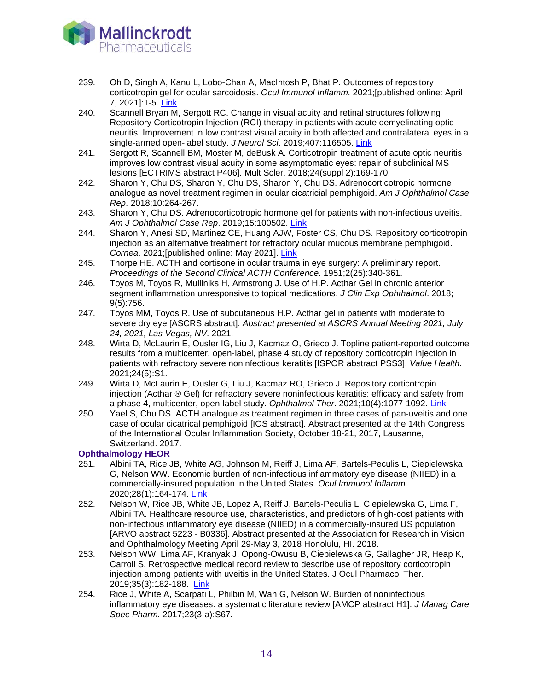

- 239. 239. Oh D, Singh A, Kanu L, Lobo-Chan A, MacIntosh P, Bhat P. Outcomes of repository corticotropin gel for ocular sarcoidosis. *Ocul Immunol Inflamm.* 2021;[published online: April 7, 2021]:1-5. [Link](https://pubmed.ncbi.nlm.nih.gov/33826473)
- 240. Scannell Bryan M, Sergott RC. Change in visual acuity and retinal structures following Repository Corticotropin Injection (RCI) therapy in patients with acute demyelinating optic neuritis: Improvement in low contrast visual acuity in both affected and contralateral eyes in a single-armed open-label study. *J Neurol Sci*. 2019;407:116505. [Link](https://www.ncbi.nlm.nih.gov/pubmed/31706456)
- 241. Sergott R, Scannell BM, Moster M, deBusk A. Corticotropin treatment of acute optic neuritis improves low contrast visual acuity in some asymptomatic eyes: repair of subclinical MS lesions [ECTRIMS abstract P406]. Mult Scler. 2018;24(suppl 2):169-170.
- 242. Sharon Y, Chu DS, Sharon Y, Chu DS, Sharon Y, Chu DS. Adrenocorticotropic hormone analogue as novel treatment regimen in ocular cicatricial pemphigoid. *Am J Ophthalmol Case Rep*. 2018;10:264-267.
- 243. Sharon Y, Chu DS. Adrenocorticotropic hormone gel for patients with non-infectious uveitis. *Am J Ophthalmol Case Rep*. 2019;15:100502. [Link](https://www.ncbi.nlm.nih.gov/pubmed/31297467)
- 244. Sharon Y, Anesi SD, Martinez CE, Huang AJW, Foster CS, Chu DS. Repository corticotropin injection as an alternative treatment for refractory ocular mucous membrane pemphigoid. *Cornea*. 2021;[published online: May 2021]. [Link](https://pubmed.ncbi.nlm.nih.gov/34050065)
- 245. Thorpe HE. ACTH and cortisone in ocular trauma in eye surgery: A preliminary report. *Proceedings of the Second Clinical ACTH Conference*. 1951;2(25):340-361.
- 246. Toyos M, Toyos R, Mulliniks H, Armstrong J. Use of H.P. Acthar Gel in chronic anterior segment inflammation unresponsive to topical medications. *J Clin Exp Ophthalmol*. 2018; 9(5):756.
- 247. Toyos MM, Toyos R. Use of subcutaneous H.P. Acthar gel in patients with moderate to severe dry eye [ASCRS abstract]. *Abstract presented at ASCRS Annual Meeting 2021, July 24, 2021, Las Vegas, NV*. 2021.
- 248. Wirta D, McLaurin E, Ousler IG, Liu J, Kacmaz O, Grieco J. Topline patient-reported outcome results from a multicenter, open-label, phase 4 study of repository corticotropin injection in patients with refractory severe noninfectious keratitis [ISPOR abstract PSS3]. *Value Health*. 2021;24(5):S1.
- 249. Wirta D, McLaurin E, Ousler G, Liu J, Kacmaz RO, Grieco J. Repository corticotropin injection (Acthar ® Gel) for refractory severe noninfectious keratitis: efficacy and safety from a phase 4, multicenter, open-label study. *Ophthalmol Ther*. 2021;10(4):1077-1092. [Link](https://pubmed.ncbi.nlm.nih.gov/34669183/)
- 250. Yael S, Chu DS. ACTH analogue as treatment regimen in three cases of pan-uveitis and one case of ocular cicatrical pemphigoid [IOS abstract]. Abstract presented at the 14th Congress of the International Ocular Inflammation Society, October 18-21, 2017, Lausanne, Switzerland. 2017.

- **Ophthalmology HEOR**<br>251. Albini TA, Rice, 251. Albini TA, Rice JB, White AG, Johnson M, Reiff J, Lima AF, Bartels-Peculis L, Ciepielewska G, Nelson WW. Economic burden of non-infectious inflammatory eye disease (NIIED) in a commercially-insured population in the United States. *Ocul Immunol Inflamm*. 2020;28(1):164-174. [Link](https://www.ncbi.nlm.nih.gov/pubmed/30794006)
- 252. Nelson W, Rice JB, White JB, Lopez A, Reiff J, Bartels-Peculis L, Ciepielewska G, Lima F, Albini TA. Healthcare resource use, characteristics, and predictors of high-cost patients with non-infectious inflammatory eye disease (NIIED) in a commercially-insured US population [ARVO abstract 5223 - B0336]. Abstract presented at the Association for Research in Vision and Ophthalmology Meeting April 29-May 3, 2018 Honolulu, HI. 2018.
- 253. Nelson WW, Lima AF, Kranyak J, Opong-Owusu B, Ciepielewska G, Gallagher JR, Heap K, Carroll S. Retrospective medical record review to describe use of repository corticotropin injection among patients with uveitis in the United States. J Ocul Pharmacol Ther. 2019;35(3):182-188. [Link](https://www.ncbi.nlm.nih.gov/pubmed/30676837)
- 254. Rice J, White A, Scarpati L, Philbin M, Wan G, Nelson W. Burden of noninfectious inflammatory eye diseases: a systematic literature review [AMCP abstract H1]. *J Manag Care Spec Pharm.* 2017;23(3-a):S67.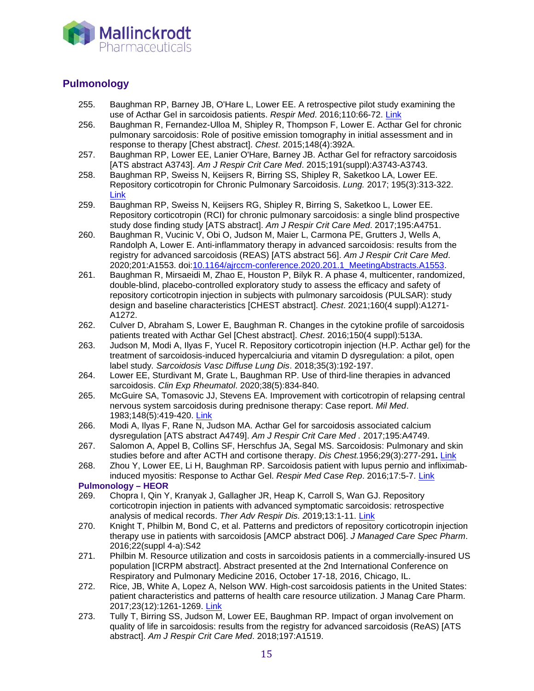

# **Pulmonology**

- 255. Baughman RP, Barney JB, O'Hare L, Lower EE. A retrospective pilot study examining the use of Acthar Gel in sarcoidosis patients. *Respir Med*. 2016;110:66-72. [Link](http://www.ncbi.nlm.nih.gov/pubmed/26626451)
- 256. Baughman R, Fernandez-Ulloa M, Shipley R, Thompson F, Lower E. Acthar Gel for chronic pulmonary sarcoidosis: Role of positive emission tomography in initial assessment and in response to therapy [Chest abstract]. *Chest*. 2015;148(4):392A.
- 257. Baughman RP, Lower EE, Lanier O'Hare, Barney JB. Acthar Gel for refractory sarcoidosis [ATS abstract A3743]. *Am J Respir Crit Care Med*. 2015;191(suppl):A3743-A3743.
- 258. Baughman RP, Sweiss N, Keijsers R, Birring SS, Shipley R, Saketkoo LA, Lower EE. Repository corticotropin for Chronic Pulmonary Sarcoidosis. *Lung.* 2017; 195(3):313-322. [Link](https://www.ncbi.nlm.nih.gov/pubmed/28353116)
- 259. Baughman RP, Sweiss N, Keijsers RG, Shipley R, Birring S, Saketkoo L, Lower EE. Repository corticotropin (RCI) for chronic pulmonary sarcoidosis: a single blind prospective study dose finding study [ATS abstract]. *Am J Respir Crit Care Med*. 2017;195:A4751.
- 260. Baughman R, Vucinic V, Obi O, Judson M, Maier L, Carmona PE, Grutters J, Wells A, Randolph A, Lower E. Anti-inflammatory therapy in advanced sarcoidosis: results from the registry for advanced sarcoidosis (REAS) [ATS abstract 56]. *Am J Respir Crit Care Med*. 2020;201:A1553. doi[:10.1164/ajrccm-conference.2020.201.1\\_MeetingAbstracts.A1553.](http://dx.doi.org/10.1164/ajrccm-conference.2020.201.1_MeetingAbstracts.A1553)
- 261. Baughman R, Mirsaeidi M, Zhao E, Houston P, Bilyk R. A phase 4, multicenter, randomized, double-blind, placebo-controlled exploratory study to assess the efficacy and safety of repository corticotropin injection in subjects with pulmonary sarcoidosis (PULSAR): study design and baseline characteristics [CHEST abstract]. *Chest*. 2021;160(4 suppl):A1271- A1272.
- 262. Culver D, Abraham S, Lower E, Baughman R. Changes in the cytokine profile of sarcoidosis patients treated with Acthar Gel [Chest abstract]. *Chest*. 2016;150(4 suppl):513A.
- 263. Judson M, Modi A, Ilyas F, Yucel R. Repository corticotropin injection (H.P. Acthar gel) for the treatment of sarcoidosis-induced hypercalciuria and vitamin D dysregulation: a pilot, open label study*. Sarcoidosis Vasc Diffuse Lung Dis*. 2018;35(3):192-197.
- 264. Lower EE, Sturdivant M, Grate L, Baughman RP. Use of third-line therapies in advanced sarcoidosis. *Clin Exp Rheumatol*. 2020;38(5):834-840.
- 265. McGuire SA, Tomasovic JJ, Stevens EA. Improvement with corticotropin of relapsing central nervous system sarcoidosis during prednisone therapy: Case report. *Mil Med*. 1983;148(5):419-420. [Link](http://www.ncbi.nlm.nih.gov/pubmed/6306512)
- 266. Modi A, Ilyas F, Rane N, Judson MA. Acthar Gel for sarcoidosis associated calcium dysregulation [ATS abstract A4749]. *Am J Respir Crit Care Med .* 2017;195:A4749.
- 267. Salomon A, Appel B, Collins SF, Herschfus JA, Segal MS. Sarcoidosis: Pulmonary and skin studies before and after ACTH and cortisone therapy. *Dis Chest.*1956;29(3):277-291**.** [Link](https://www.ncbi.nlm.nih.gov/pubmed/13294014)
- 268. Zhou Y, Lower EE, Li H, Baughman RP. Sarcoidosis patient with lupus pernio and infliximabinduced myositis: Response to Acthar Gel. *Respir Med Case Rep*. 2016;17:5-7. [Link](https://www.ncbi.nlm.nih.gov/pubmed/27222775)

# **Pulmonology – HEOR**

- 269. Chopra I, Qin Y, Kranyak J, Gallagher JR, Heap K, Carroll S, Wan GJ. Repository corticotropin injection in patients with advanced symptomatic sarcoidosis: retrospective analysis of medical records. *Ther Adv Respir Dis. 2*019;13:1-11. [Link](https://www.ncbi.nlm.nih.gov/pubmed/31722624)
- 270. Knight T, Philbin M, Bond C, et al. Patterns and predictors of repository corticotropin injection therapy use in patients with sarcoidosis [AMCP abstract D06]. *J Managed Care Spec Pharm*. 2016;22(suppl 4-a):S42
- 271. Philbin M. Resource utilization and costs in sarcoidosis patients in a commercially-insured US population [ICRPM abstract]. Abstract presented at the 2nd International Conference on Respiratory and Pulmonary Medicine 2016, October 17-18, 2016, Chicago, IL.
- 272. Rice, JB, White A, Lopez A, Nelson WW. High-cost sarcoidosis patients in the United States: patient characteristics and patterns of health care resource utilization. J Manag Care Pharm. 2017;23(12):1261-1269. [Link](https://www.ncbi.nlm.nih.gov/pubmed/29172980)
- 273. Tully T, Birring SS, Judson M, Lower EE, Baughman RP. Impact of organ involvement on quality of life in sarcoidosis: results from the registry for advanced sarcoidosis (ReAS) [ATS abstract]. *Am J Respir Crit Care Med*. 2018;197:A1519.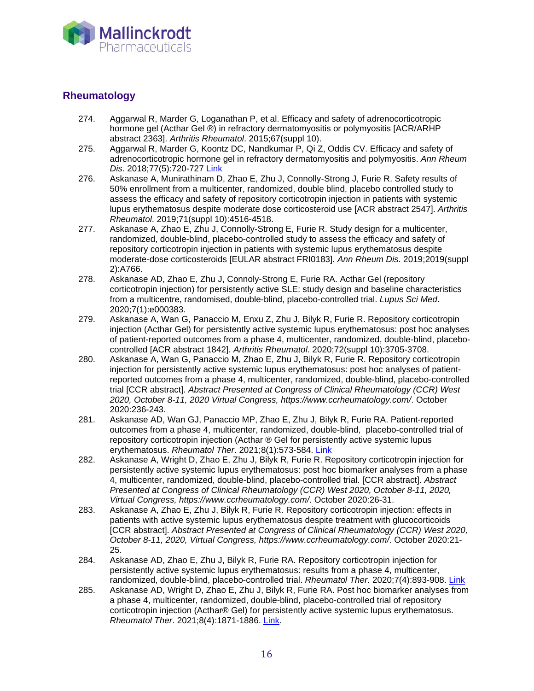

# **Rheumatology**

- 274. Aggarwal R, Marder G, Loganathan P, et al. Efficacy and safety of adrenocorticotropic hormone gel (Acthar Gel ®) in refractory dermatomyositis or polymyositis [ACR/ARHP abstract 2363]. *Arthritis Rheumatol*. 2015;67(suppl 10).
- 275. Aggarwal R, Marder G, Koontz DC, Nandkumar P, Qi Z, Oddis CV. Efficacy and safety of adrenocorticotropic hormone gel in refractory dermatomyositis and polymyositis. *Ann Rheum Dis*. 2018;77(5):720-727 [Link](https://www.ncbi.nlm.nih.gov/pubmed/29237618)
- 276. Askanase A, Munirathinam D, Zhao E, Zhu J, Connolly-Strong J, Furie R. Safety results of 50% enrollment from a multicenter, randomized, double blind, placebo controlled study to assess the efficacy and safety of repository corticotropin injection in patients with systemic lupus erythematosus despite moderate dose corticosteroid use [ACR abstract 2547]. *Arthritis Rheumatol*. 2019;71(suppl 10):4516-4518.
- 277. Askanase A, Zhao E, Zhu J, Connolly-Strong E, Furie R. Study design for a multicenter, randomized, double-blind, placebo-controlled study to assess the efficacy and safety of repository corticotropin injection in patients with systemic lupus erythematosus despite moderate-dose corticosteroids [EULAR abstract FRI0183]. *Ann Rheum Dis*. 2019;2019(suppl 2):A766.
- 278. Askanase AD, Zhao E, Zhu J, Connoly-Strong E, Furie RA. Acthar Gel (repository corticotropin injection) for persistently active SLE: study design and baseline characteristics from a multicentre, randomised, double-blind, placebo-controlled trial. *Lupus Sci Med*. 2020;7(1):e000383.
- 279. Askanase A, Wan G, Panaccio M, Enxu Z, Zhu J, Bilyk R, Furie R. Repository corticotropin injection (Acthar Gel) for persistently active systemic lupus erythematosus: post hoc analyses of patient-reported outcomes from a phase 4, multicenter, randomized, double-blind, placebocontrolled [ACR abstract 1842]. *Arthritis Rheumatol*. 2020;72(suppl 10):3705-3708.
- 280. Askanase A, Wan G, Panaccio M, Zhao E, Zhu J, Bilyk R, Furie R. Repository corticotropin injection for persistently active systemic lupus erythematosus: post hoc analyses of patientreported outcomes from a phase 4, multicenter, randomized, double-blind, placebo-controlled trial [CCR abstract]. *Abstract Presented at Congress of Clinical Rheumatology (CCR) West 2020, October 8-11, 2020 Virtual Congress, https://www.ccrheumatology.com/*. October 2020:236-243.
- 281. Askanase AD, Wan GJ, Panaccio MP, Zhao E, Zhu J, Bilyk R, Furie RA. Patient-reported outcomes from a phase 4, multicenter, randomized, double-blind, placebo-controlled trial of repository corticotropin injection (Acthar ® Gel for persistently active systemic lupus erythematosus. *Rheumatol Ther*. 2021;8(1):573-584. [Link](https://pubmed.ncbi.nlm.nih.gov/33687687)
- 282. Askanase A, Wright D, Zhao E, Zhu J, Bilyk R, Furie R. Repository corticotropin injection for persistently active systemic lupus erythematosus: post hoc biomarker analyses from a phase 4, multicenter, randomized, double-blind, placebo-controlled trial. [CCR abstract]. *Abstract Presented at Congress of Clinical Rheumatology (CCR) West 2020, October 8-11, 2020, Virtual Congress, https://www.ccrheumatology.com/*. October 2020:26-31.
- 283. Askanase A, Zhao E, Zhu J, Bilyk R, Furie R. Repository corticotropin injection: effects in patients with active systemic lupus erythematosus despite treatment with glucocorticoids [CCR abstract]. *Abstract Presented at Congress of Clinical Rheumatology (CCR) West 2020, October 8-11, 2020, Virtual Congress, https://www.ccrheumatology.com/*. October 2020:21- 25.
- 284. Askanase AD, Zhao E, Zhu J, Bilyk R, Furie RA. Repository corticotropin injection for persistently active systemic lupus erythematosus: results from a phase 4, multicenter, randomized, double-blind, placebo-controlled trial. *Rheumatol Ther*. 2020;7(4):893-908. [Link](https://pubmed.ncbi.nlm.nih.gov/32996096)
- 285. Askanase AD, Wright D, Zhao E, Zhu J, Bilyk R, Furie RA. Post hoc biomarker analyses from a phase 4, multicenter, randomized, double-blind, placebo-controlled trial of repository corticotropin injection (Acthar® Gel) for persistently active systemic lupus erythematosus. *Rheumatol Ther*. 2021;8(4):1871-1886. [Link.](https://pubmed.ncbi.nlm.nih.gov/34478124/)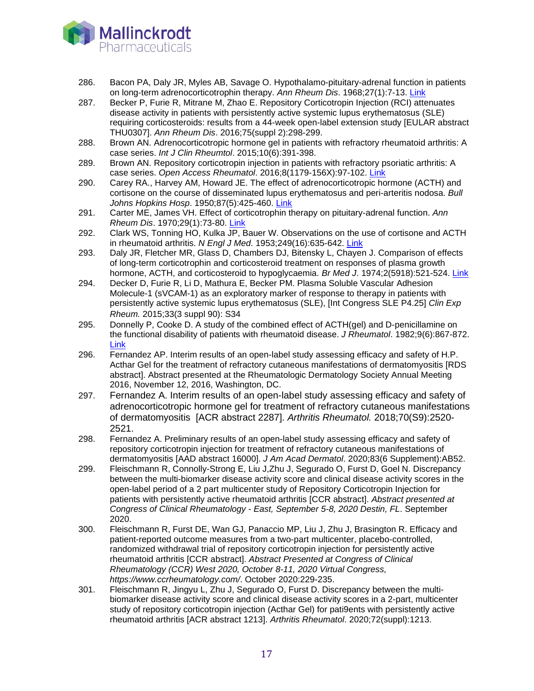

- 286. Bacon PA, Daly JR, Myles AB, Savage O. Hypothalamo-pituitary-adrenal function in patients on long-term adrenocorticotrophin therapy. *Ann Rheum Dis*. 1968;27(1):7-13. [Link](http://www.ncbi.nlm.nih.gov/pubmed/4295923)
- 287. Becker P, Furie R, Mitrane M, Zhao E. Repository Corticotropin Injection (RCI) attenuates disease activity in patients with persistently active systemic lupus erythematosus (SLE) requiring corticosteroids: results from a 44-week open-label extension study [EULAR abstract THU0307]. *Ann Rheum Dis*. 2016;75(suppl 2):298-299.
- 288. Brown AN. Adrenocorticotropic hormone gel in patients with refractory rheumatoid arthritis: A case series. *Int J Clin Rheumtol*. 2015;10(6):391-398.
- 289. Brown AN. Repository corticotropin injection in patients with refractory psoriatic arthritis: A case series. *Open Access Rheumatol*. 2016;8(1179-156X):97-102. [Link](https://www.ncbi.nlm.nih.gov/pubmed/27956846)
- 290. Carey RA., Harvey AM, Howard JE. The effect of adrenocorticotropic hormone (ACTH) and cortisone on the course of disseminated lupus erythematosus and peri-arteritis nodosa. *Bull Johns Hopkins Hosp*. 1950;87(5):425-460. [Link](http://www.ncbi.nlm.nih.gov/pubmed/14783714)
- 291. Carter ME, James VH. Effect of corticotrophin therapy on pituitary-adrenal function. *Ann Rheum Dis*. 1970;29(1):73-80. [Link](http://www.ncbi.nlm.nih.gov/pubmed/4313509)
- 292. Clark WS, Tonning HO, Kulka JP, Bauer W. Observations on the use of cortisone and ACTH in rheumatoid arthritis. *N Engl J Med*. 1953;249(16):635-642. [Link](http://www.ncbi.nlm.nih.gov/pubmed/13099480)
- 293. Daly JR, Fletcher MR, Glass D, Chambers DJ, Bitensky L, Chayen J. Comparison of effects of long-term corticotrophin and corticosteroid treatment on responses of plasma growth hormone, ACTH, and corticosteroid to hypoglycaemia. *Br Med J*. 1974;2(5918):521-524. [Link](http://www.ncbi.nlm.nih.gov/pubmed/4366303)
- 294. Decker D, Furie R, Li D, Mathura E, Becker PM. Plasma Soluble Vascular Adhesion Molecule-1 (sVCAM-1) as an exploratory marker of response to therapy in patients with persistently active systemic lupus erythematosus (SLE), [Int Congress SLE P4.25] *Clin Exp Rheum.* 2015;33(3 suppl 90): S34
- 295. Donnelly P, Cooke D. A study of the combined effect of ACTH(gel) and D-penicillamine on the functional disability of patients with rheumatoid disease. *J Rheumatol*. 1982;9(6):867-872. [Link](http://www.ncbi.nlm.nih.gov/pubmed/6298415)
- 296. Fernandez AP. Interim results of an open-label study assessing efficacy and safety of H.P. Acthar Gel for the treatment of refractory cutaneous manifestations of dermatomyositis [RDS abstract]. Abstract presented at the Rheumatologic Dermatology Society Annual Meeting 2016, November 12, 2016, Washington, DC.
- 297. Fernandez A. Interim results of an open-label study assessing efficacy and safety of adrenocorticotropic hormone gel for treatment of refractory cutaneous manifestations of dermatomyositis [ACR abstract 2287]. *Arthritis Rheumatol.* 2018;70(S9):2520- 2521.
- 298. Fernandez A. Preliminary results of an open-label study assessing efficacy and safety of repository corticotropin injection for treatment of refractory cutaneous manifestations of dermatomyositis [AAD abstract 16000]. *J Am Acad Dermatol*. 2020;83(6 Supplement):AB52.
- 299. Fleischmann R, Connolly-Strong E, Liu J,Zhu J, Segurado O, Furst D, Goel N. Discrepancy between the multi-biomarker disease activity score and clinical disease activity scores in the open-label period of a 2 part multicenter study of Repository Corticotropin Injection for patients with persistently active rheumatoid arthritis [CCR abstract]. *Abstract presented at Congress of Clinical Rheumatology - East, September 5-8, 2020 Destin, FL*. September 2020.
- 300. Fleischmann R, Furst DE, Wan GJ, Panaccio MP, Liu J, Zhu J, Brasington R. Efficacy and patient-reported outcome measures from a two-part multicenter, placebo-controlled, randomized withdrawal trial of repository corticotropin injection for persistently active rheumatoid arthritis [CCR abstract]. *Abstract Presented at Congress of Clinical Rheumatology (CCR) West 2020, October 8-11, 2020 Virtual Congress, https://www.ccrheumatology.com/*. October 2020:229-235.
- 301. Fleischmann R, Jingyu L, Zhu J, Segurado O, Furst D. Discrepancy between the multibiomarker disease activity score and clinical disease activity scores in a 2-part, multicenter study of repository corticotropin injection (Acthar Gel) for pati9ents with persistently active rheumatoid arthritis [ACR abstract 1213]. *Arthritis Rheumatol*. 2020;72(suppl):1213.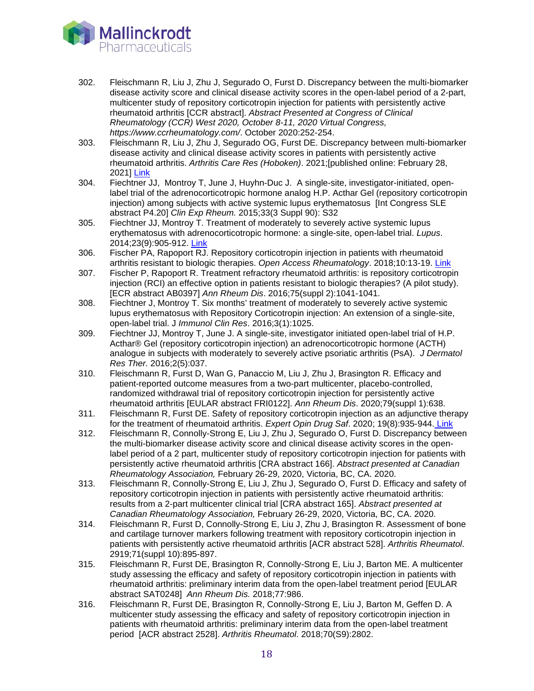

- 302. Fleischmann R, Liu J, Zhu J, Segurado O, Furst D. Discrepancy between the multi-biomarker disease activity score and clinical disease activity scores in the open-label period of a 2-part, multicenter study of repository corticotropin injection for patients with persistently active rheumatoid arthritis [CCR abstract]. *Abstract Presented at Congress of Clinical Rheumatology (CCR) West 2020, October 8-11, 2020 Virtual Congress, https://www.ccrheumatology.com/*. October 2020:252-254.
- 303. Fleischmann R, Liu J, Zhu J, Segurado OG, Furst DE. Discrepancy between multi-biomarker disease activity and clinical disease activity scores in patients with persistently active rheumatoid arthritis. *Arthritis Care Res (Hoboken)*. 2021;[published online: February 28, 2021] [Link](https://pubmed.ncbi.nlm.nih.gov/33644992)
- 304. Fiechtner JJ, Montroy T, June J, Huyhn-Duc J. A single-site, investigator-initiated, openlabel trial of the adrenocorticotropic hormone analog H.P. Acthar Gel (repository corticotropin injection) among subjects with active systemic lupus erythematosus [Int Congress SLE abstract P4.20] *Clin Exp Rheum.* 2015;33(3 Suppl 90): S32
- 305. Fiechtner JJ, Montroy T. Treatment of moderately to severely active systemic lupus erythematosus with adrenocorticotropic hormone: a single-site, open-label trial. *Lupus*. 2014;23(9):905-912. [Link](http://www.ncbi.nlm.nih.gov/pubmed/24795067)
- 306. Fischer PA, Rapoport RJ. Repository corticotropin injection in patients with rheumatoid arthritis resistant to biologic therapies. *Open Access Rheumatology*. 2018;10:13-19. [Link](https://www.ncbi.nlm.nih.gov/pubmed/29445306)
- 307. Fischer P, Rapoport R. Treatment refractory rheumatoid arthritis: is repository corticotropin injection (RCI) an effective option in patients resistant to biologic therapies? (A pilot study). [ECR abstract AB0397] *Ann Rheum Dis*. 2016;75(suppl 2):1041-1041.
- 308. Fiechtner J, Montroy T. Six months' treatment of moderately to severely active systemic lupus erythematosus with Repository Corticotropin injection: An extension of a single-site, open-label trial. J *Immunol Clin Res*. 2016;3(1):1025.
- 309. Fiechtner JJ, Montroy T, June J. A single-site, investigator initiated open-label trial of H.P. Acthar® Gel (repository corticotropin injection) an adrenocorticotropic hormone (ACTH) analogue in subjects with moderately to severely active psoriatic arthritis (PsA). *J Dermatol Res Ther.* 2016;2(5):037.
- 310. Fleischmann R, Furst D, Wan G, Panaccio M, Liu J, Zhu J, Brasington R. Efficacy and patient-reported outcome measures from a two-part multicenter, placebo-controlled, randomized withdrawal trial of repository corticotropin injection for persistently active rheumatoid arthritis [EULAR abstract FRI0122]. *Ann Rheum Dis*. 2020;79(suppl 1):638.
- 311. Fleischmann R, Furst DE. Safety of repository corticotropin injection as an adjunctive therapy for the treatment of rheumatoid arthritis. *Expert Opin Drug Saf*. 2020; 19(8):935-944. [Link](https://pubmed.ncbi.nlm.nih.gov/32497440/)
- 312. Fleischmann R, Connolly-Strong E, Liu J, Zhu J, Segurado O, Furst D. Discrepancy between the multi-biomarker disease activity score and clinical disease activity scores in the openlabel period of a 2 part, multicenter study of repository corticotropin injection for patients with persistently active rheumatoid arthritis [CRA abstract 166]. *Abstract presented at Canadian Rheumatology Association,* February 26-29, 2020, Victoria, BC, CA. 2020.
- 313. Fleischmann R, Connolly-Strong E, Liu J, Zhu J, Segurado O, Furst D. Efficacy and safety of repository corticotropin injection in patients with persistently active rheumatoid arthritis: results from a 2-part multicenter clinical trial [CRA abstract 165]. *Abstract presented at Canadian Rheumatology Association,* February 26-29, 2020, Victoria, BC, CA. 2020.
- 314. Fleischmann R, Furst D, Connolly-Strong E, Liu J, Zhu J, Brasington R. Assessment of bone and cartilage turnover markers following treatment with repository corticotropin injection in patients with persistently active rheumatoid arthritis [ACR abstract 528]. *Arthritis Rheumatol*. 2919;71(suppl 10):895-897.
- 315. Fleischmann R, Furst DE, Brasington R, Connolly-Strong E, Liu J, Barton ME. A multicenter study assessing the efficacy and safety of repository corticotropin injection in patients with rheumatoid arthritis: preliminary interim data from the open-label treatment period [EULAR abstract SAT0248] *Ann Rheum Dis.* 2018;77:986.
- 316. Fleischmann R, Furst DE, Brasington R, Connolly-Strong E, Liu J, Barton M, Geffen D. A multicenter study assessing the efficacy and safety of repository corticotropin injection in patients with rheumatoid arthritis: preliminary interim data from the open-label treatment period [ACR abstract 2528]. *Arthritis Rheumatol*. 2018;70(S9):2802.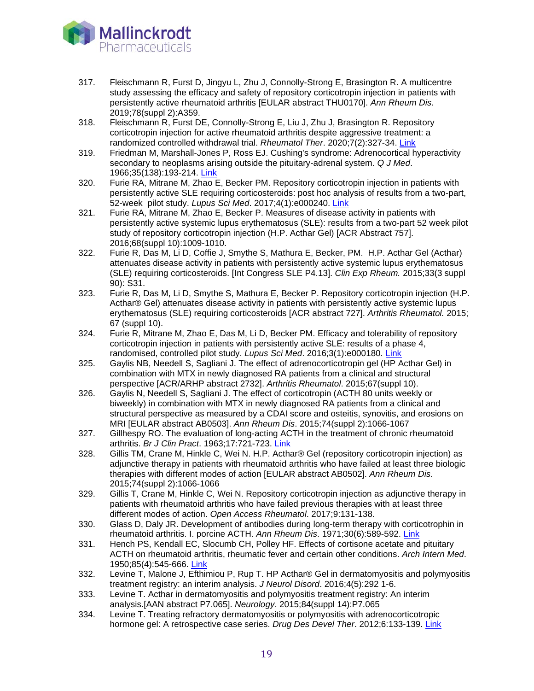

- 317. 317. Fleischmann R, Furst D, Jingyu L, Zhu J, Connolly-Strong E, Brasington R. A multicentre study assessing the efficacy and safety of repository corticotropin injection in patients with persistently active rheumatoid arthritis [EULAR abstract THU0170]. *Ann Rheum Dis*. 2019;78(suppl 2):A359.
- 318. Fleischmann R, Furst DE, Connolly-Strong E, Liu J, Zhu J, Brasington R. Repository corticotropin injection for active rheumatoid arthritis despite aggressive treatment: a randomized controlled withdrawal trial. *Rheumatol Ther*. 2020;7(2):327-34. [Link](https://www.ncbi.nlm.nih.gov/pubmed/32185745)
- 319. Friedman M, Marshall-Jones P, Ross EJ. Cushing's syndrome: Adrenocortical hyperactivity secondary to neoplasms arising outside the pituitary-adrenal system. *Q J Med*. 1966;35(138):193-214. [Link](http://www.ncbi.nlm.nih.gov/pubmed/4287900)
- 320. Furie RA, Mitrane M, Zhao E, Becker PM. Repository corticotropin injection in patients with persistently active SLE requiring corticosteroids: post hoc analysis of results from a two-part, 52-week pilot study. *Lupus Sci Med*. 2017;4(1):e000240. [Link](https://www.ncbi.nlm.nih.gov/pubmed/29344387)
- 321. Furie RA, Mitrane M, Zhao E, Becker P. Measures of disease activity in patients with persistently active systemic lupus erythematosus (SLE): results from a two-part 52 week pilot study of repository corticotropin injection (H.P. Acthar Gel) [ACR Abstract 757]. 2016;68(suppl 10):1009-1010.
- 322. Furie R, Das M, Li D, Coffie J, Smythe S, Mathura E, Becker, PM. H.P. Acthar Gel (Acthar) attenuates disease activity in patients with persistently active systemic lupus erythematosus (SLE) requiring corticosteroids. [Int Congress SLE P4.13]. *Clin Exp Rheum.* 2015;33(3 suppl 90): S31.
- 323. Furie R, Das M, Li D, Smythe S, Mathura E, Becker P. Repository corticotropin injection (H.P. Acthar® Gel) attenuates disease activity in patients with persistently active systemic lupus erythematosus (SLE) requiring corticosteroids [ACR abstract 727]. *Arthritis Rheumatol.* 2015; 67 (suppl 10).
- 324. Furie R, Mitrane M, Zhao E, Das M, Li D, Becker PM. Efficacy and tolerability of repository corticotropin injection in patients with persistently active SLE: results of a phase 4, randomised, controlled pilot study. *Lupus Sci Med*. 2016;3(1):e000180. [Link](https://www.ncbi.nlm.nih.gov/pubmed/27933199)
- 325. Gaylis NB, Needell S, Sagliani J. The effect of adrenocorticotropin gel (HP Acthar Gel) in combination with MTX in newly diagnosed RA patients from a clinical and structural perspective [ACR/ARHP abstract 2732]. *Arthritis Rheumatol*. 2015;67(suppl 10).
- 326. Gaylis N, Needell S, Sagliani J. The effect of corticotropin (ACTH 80 units weekly or biweekly) in combination with MTX in newly diagnosed RA patients from a clinical and structural perspective as measured by a CDAI score and osteitis, synovitis, and erosions on MRI [EULAR abstract AB0503]. *Ann Rheum Dis*. 2015;74(suppl 2):1066-1067
- 327. Gillhespy RO. The evaluation of long-acting ACTH in the treatment of chronic rheumatoid arthritis. *Br J Clin Pract*. 1963;17:721-723. [Link](http://www.ncbi.nlm.nih.gov/pubmed/14084639)
- 328. Gillis TM, Crane M, Hinkle C, Wei N. H.P. Acthar® Gel (repository corticotropin injection) as adjunctive therapy in patients with rheumatoid arthritis who have failed at least three biologic therapies with different modes of action [EULAR abstract AB0502]. *Ann Rheum Dis*. 2015;74(suppl 2):1066-1066
- 329. Gillis T, Crane M, Hinkle C, Wei N. Repository corticotropin injection as adjunctive therapy in patients with rheumatoid arthritis who have failed previous therapies with at least three different modes of action. *Open Access Rheumatol*. 2017;9:131-138.
- 330. Glass D, Daly JR. Development of antibodies during long-term therapy with corticotrophin in rheumatoid arthritis. I. porcine ACTH. *Ann Rheum Dis*. 1971;30(6):589-592. [Link](http://www.ncbi.nlm.nih.gov/pubmed/4331738)
- 331. Hench PS, Kendall EC, Slocumb CH, Polley HF. Effects of cortisone acetate and pituitary ACTH on rheumatoid arthritis, rheumatic fever and certain other conditions. *Arch Intern Med*. 1950;85(4):545-666. [Link](http://www.ncbi.nlm.nih.gov/pubmed/15411248)
- 332. Levine T, Malone J, Efthimiou P, Rup T. HP Acthar® Gel in dermatomyositis and polymyositis treatment registry: an interim analysis. *J Neurol Disord*. 2016;4(5):292 1-6.
- 333. Levine T. Acthar in dermatomyositis and polymyositis treatment registry: An interim analysis.[AAN abstract P7.065]. *Neurology*. 2015;84(suppl 14):P7.065
- 334. Levine T. Treating refractory dermatomyositis or polymyositis with adrenocorticotropic hormone gel: A retrospective case series. *Drug Des Devel Ther*. 2012;6:133-139. [Link](http://www.ncbi.nlm.nih.gov/pubmed/22787386)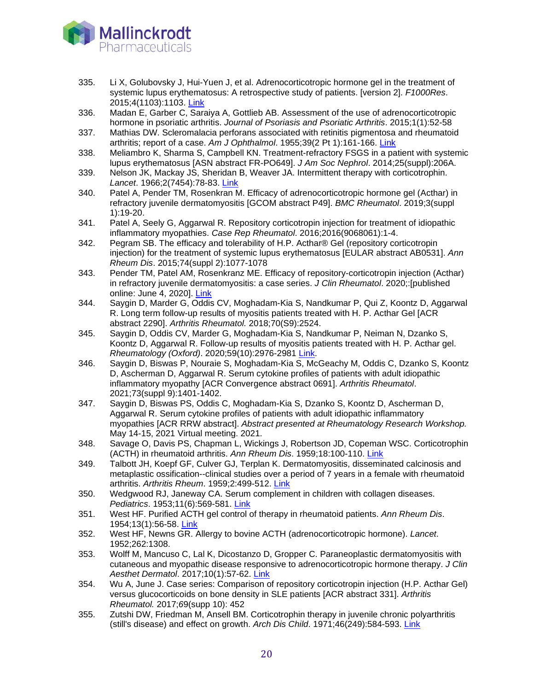

- 335. Li X, Golubovsky J, Hui-Yuen J, et al. Adrenocorticotropic hormone gel in the treatment of systemic lupus erythematosus: A retrospective study of patients. [version 2]. *F1000Res*. 2015;4(1103):1103. [Link](http://www.ncbi.nlm.nih.gov/pubmed/27158444)
- 336. Madan E, Garber C, Saraiya A, Gottlieb AB. Assessment of the use of adrenocorticotropic hormone in psoriatic arthritis. *Journal of Psoriasis and Psoriatic Arthritis*. 2015;1(1):52-58
- 337. Mathias DW. Scleromalacia perforans associated with retinitis pigmentosa and rheumatoid arthritis; report of a case. *Am J Ophthalmol*. 1955;39(2 Pt 1):161-166. [Link](https://www.ncbi.nlm.nih.gov/pubmed/13228524)
- 338. Meliambro K, Sharma S, Campbell KN. Treatment-refractory FSGS in a patient with systemic lupus erythematosus [ASN abstract FR-PO649]. *J Am Soc Nephrol*. 2014;25(suppl):206A.
- 339. Nelson JK, Mackay JS, Sheridan B, Weaver JA. Intermittent therapy with corticotrophin. *Lancet*. 1966;2(7454):78-83. [Link](http://www.ncbi.nlm.nih.gov/pubmed/4161024)
- 340. Patel A, Pender TM, Rosenkran M. Efficacy of adrenocorticotropic hormone gel (Acthar) in refractory juvenile dermatomyositis [GCOM abstract P49]. *BMC Rheumatol*. 2019;3(suppl 1):19-20.
- 341. Patel A, Seely G, Aggarwal R. Repository corticotropin injection for treatment of idiopathic inflammatory myopathies. *Case Rep Rheumatol*. 2016;2016(9068061):1-4.
- 342. Pegram SB. The efficacy and tolerability of H.P. Acthar® Gel (repository corticotropin injection) for the treatment of systemic lupus erythematosus [EULAR abstract AB0531]. *Ann Rheum Dis*. 2015;74(suppl 2):1077-1078
- 343. Pender TM, Patel AM, Rosenkranz ME. Efficacy of repository-corticotropin injection (Acthar) in refractory juvenile dermatomyositis: a case series. *J Clin Rheumatol*. 2020;:[published online: June 4, 2020]. [Link](https://www.pubmed.gov/32501940)
- 344. Saygin D, Marder G, Oddis CV, Moghadam-Kia S, Nandkumar P, Qui Z, Koontz D, Aggarwal R. Long term follow-up results of myositis patients treated with H. P. Acthar Gel [ACR abstract 2290]. *Arthritis Rheumatol.* 2018;70(S9):2524.
- 345. Saygin D, Oddis CV, Marder G, Moghadam-Kia S, Nandkumar P, Neiman N, Dzanko S, Koontz D, Aggarwal R. Follow-up results of myositis patients treated with H. P. Acthar gel. *Rheumatology (Oxford)*. 2020;59(10):2976-2981 [Link.](https://www.ncbi.nlm.nih.gov/pubmed/32160301)
- 346. Saygin D, Biswas P, Nouraie S, Moghadam-Kia S, McGeachy M, Oddis C, Dzanko S, Koontz D, Ascherman D, Aggarwal R. Serum cytokine profiles of patients with adult idiopathic inflammatory myopathy [ACR Convergence abstract 0691]. *Arthritis Rheumatol*. 2021;73(suppl 9):1401-1402.
- 347. Saygin D, Biswas PS, Oddis C, Moghadam-Kia S, Dzanko S, Koontz D, Ascherman D, Aggarwal R. Serum cytokine profiles of patients with adult idiopathic inflammatory myopathies [ACR RRW abstract]. *Abstract presented at Rheumatology Research Workshop.*  May 14-15, 2021 Virtual meeting. 2021.
- 348. Savage O, Davis PS, Chapman L, Wickings J, Robertson JD, Copeman WSC. Corticotrophin (ACTH) in rheumatoid arthritis. *Ann Rheum Dis*. 1959;18:100-110. [Link](http://www.ncbi.nlm.nih.gov/pubmed/14442004)
- 349. Talbott JH, Koepf GF, Culver GJ, Terplan K. Dermatomyositis, disseminated calcinosis and metaplastic ossification--clinical studies over a period of 7 years in a female with rheumatoid arthritis. *Arthritis Rheum*. 1959;2:499-512. [Link](https://www.ncbi.nlm.nih.gov/pubmed/13836726)
- 350. Wedgwood RJ, Janeway CA. Serum complement in children with collagen diseases. *Pediatrics*. 1953;11(6):569-581. [Link](http://www.ncbi.nlm.nih.gov/pubmed/13073290)
- 351. West HF. Purified ACTH gel control of therapy in rheumatoid patients. *Ann Rheum Dis*. 1954;13(1):56-58. [Link](http://www.ncbi.nlm.nih.gov/pubmed/13149056)
- 352. West HF, Newns GR. Allergy to bovine ACTH (adrenocorticotropic hormone). *Lancet*. 1952;262:1308.
- 353. Wolff M, Mancuso C, Lal K, Dicostanzo D, Gropper C. Paraneoplastic dermatomyositis with cutaneous and myopathic disease responsive to adrenocorticotropic hormone therapy. *J Clin Aesthet Dermatol*. 2017;10(1):57-62. [Link](https://www.ncbi.nlm.nih.gov/pubmed/28210382)
- 354. Wu A, June J. Case series: Comparison of repository corticotropin injection (H.P. Acthar Gel) versus glucocorticoids on bone density in SLE patients [ACR abstract 331]. *Arthritis Rheumatol.* 2017;*6*9(supp 10): 452
- 355. Zutshi DW, Friedman M, Ansell BM. Corticotrophin therapy in juvenile chronic polyarthritis (still's disease) and effect on growth. *Arch Dis Child*. 1971;46(249):584-593. [Link](http://www.ncbi.nlm.nih.gov/pubmed/4330191)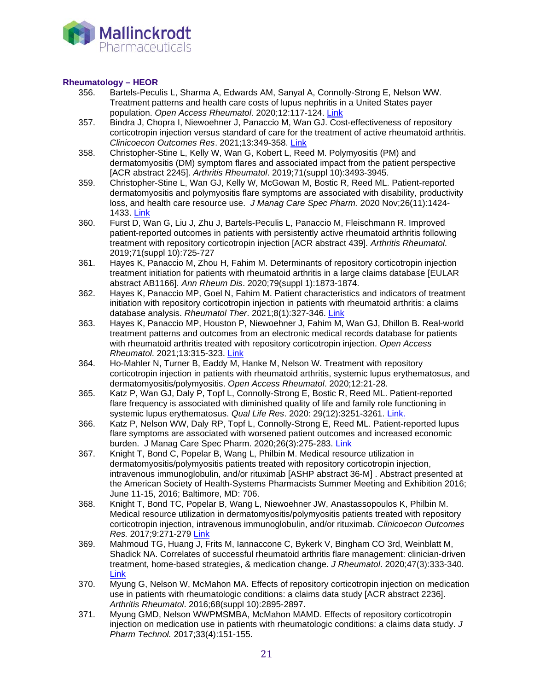

### **Rheumatology – HEOR**

- 356. Bartels-Peculis L, Sharma A, Edwards AM, Sanyal A, Connolly-Strong E, Nelson WW. Treatment patterns and health care costs of lupus nephritis in a United States payer population. *Open Access Rheumatol*. 2020;12:117-124. [Link](https://pubmed.ncbi.nlm.nih.gov/32607019/)
- 357. Bindra J, Chopra I, Niewoehner J, Panaccio M, Wan GJ. Cost-effectiveness of repository corticotropin injection versus standard of care for the treatment of active rheumatoid arthritis. *Clinicoecon Outcomes Res*. 2021;13:349-358. [Link](https://pubmed.ncbi.nlm.nih.gov/33986603/)
- 358. Christopher-Stine L, Kelly W, Wan G, Kobert L, Reed M. Polymyositis (PM) and dermatomyositis (DM) symptom flares and associated impact from the patient perspective [ACR abstract 2245]. *Arthritis Rheumatol*. 2019;71(suppl 10):3493-3945.
- 359. Christopher-Stine L, Wan GJ, Kelly W, McGowan M, Bostic R, Reed ML. Patient-reported dermatomyositis and polymyositis flare symptoms are associated with disability, productivity loss, and health care resource use. *J Manag Care Spec Pharm.* 2020 Nov;26(11):1424- 1433. [Link](https://pubmed.ncbi.nlm.nih.gov/33119444/)
- 360. Furst D, Wan G, Liu J, Zhu J, Bartels-Peculis L, Panaccio M, Fleischmann R. Improved patient-reported outcomes in patients with persistently active rheumatoid arthritis following treatment with repository corticotropin injection [ACR abstract 439]. *Arthritis Rheumatol*. 2019;71(suppl 10):725-727
- 361. Hayes K, Panaccio M, Zhou H, Fahim M. Determinants of repository corticotropin injection treatment initiation for patients with rheumatoid arthritis in a large claims database [EULAR abstract AB1166]. *Ann Rheum Dis*. 2020;79(suppl 1):1873-1874.
- 362. Hayes K, Panaccio MP, Goel N, Fahim M. Patient characteristics and indicators of treatment initiation with repository corticotropin injection in patients with rheumatoid arthritis: a claims database analysis. *Rheumatol Ther*. 2021;8(1):327-346. [Link](https://pubmed.ncbi.nlm.nih.gov/33400194/)
- 363. Hayes K, Panaccio MP, Houston P, Niewoehner J, Fahim M, Wan GJ, Dhillon B. Real-world treatment patterns and outcomes from an electronic medical records database for patients with rheumatoid arthritis treated with repository corticotropin injection. *Open Access Rheumatol*. 2021;13:315-323. [Link](https://pubmed.ncbi.nlm.nih.gov/34703332/)
- 364. Ho-Mahler N, Turner B, Eaddy M, Hanke M, Nelson W. Treatment with repository corticotropin injection in patients with rheumatoid arthritis, systemic lupus erythematosus, and dermatomyositis/polymyositis. *Open Access Rheumatol*. 2020;12:21-28.
- 365. Katz P, Wan GJ, Daly P, Topf L, Connolly-Strong E, Bostic R, Reed ML. Patient-reported flare frequency is associated with diminished quality of life and family role functioning in systemic lupus erythematosus. *Qual Life Res*. 2020: 29(12):3251-3261. [Link.](https://pubmed.ncbi.nlm.nih.gov/32683643/)
- 366. Katz P, Nelson WW, Daly RP, Topf L, Connolly-Strong E, Reed ML. Patient-reported lupus flare symptoms are associated with worsened patient outcomes and increased economic burden. J Manag Care Spec Pharm. 2020;26(3):275-283. [Link](https://pubmed.ncbi.nlm.nih.gov/32105178/)
- 367. Knight T, Bond C, Popelar B, Wang L, Philbin M. Medical resource utilization in dermatomyositis/polymyositis patients treated with repository corticotropin injection, intravenous immunoglobulin, and/or rituximab [ASHP abstract 36-M] . Abstract presented at the American Society of Health-Systems Pharmacists Summer Meeting and Exhibition 2016; June 11-15, 2016; Baltimore, MD: 706.
- 368. Knight T, Bond TC, Popelar B, Wang L, Niewoehner JW, Anastassopoulos K, Philbin M. Medical resource utilization in dermatomyositis/polymyositis patients treated with repository corticotropin injection, intravenous immunoglobulin, and/or rituximab. *Clinicoecon Outcomes Res.* 2017;9:271-279 [Link](https://www.ncbi.nlm.nih.gov/pubmed/28553129)
- 369. Mahmoud TG, Huang J, Frits M, Iannaccone C, Bykerk V, Bingham CO 3rd, Weinblatt M, Shadick NA. Correlates of successful rheumatoid arthritis flare management: clinician-driven treatment, home-based strategies, & medication change. *J Rheumatol*. 2020;47(3):333-340. **[Link](https://www.ncbi.nlm.nih.gov/pubmed/31203222)**
- 370. Myung G, Nelson W, McMahon MA. Effects of repository corticotropin injection on medication use in patients with rheumatologic conditions: a claims data study [ACR abstract 2236]. *Arthritis Rheumatol*. 2016;68(suppl 10):2895-2897.
- 371. Myung GMD, Nelson WWPMSMBA, McMahon MAMD. Effects of repository corticotropin injection on medication use in patients with rheumatologic conditions: a claims data study. *J Pharm Technol.* 2017;33(4):151-155.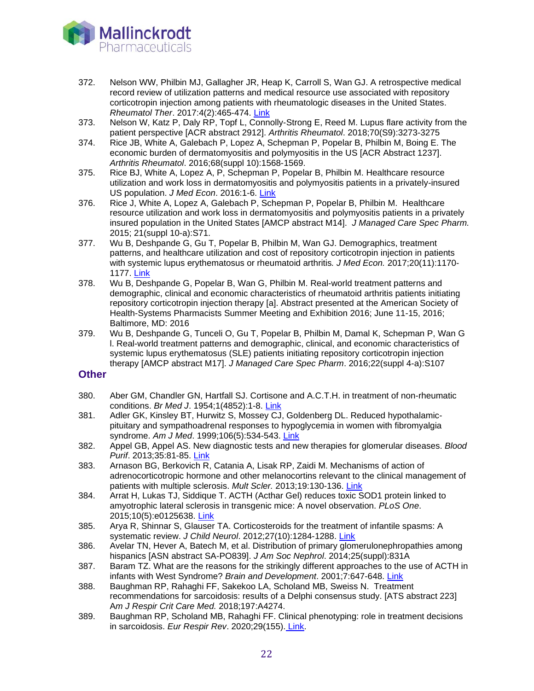

- 372. Nelson WW, Philbin MJ, Gallagher JR, Heap K, Carroll S, Wan GJ. A retrospective medical record review of utilization patterns and medical resource use associated with repository corticotropin injection among patients with rheumatologic diseases in the United States. *Rheumatol Ther*. 2017:4(2):465-474. [Link](https://www.ncbi.nlm.nih.gov/pubmed/29071588)
- 373. Nelson W, Katz P, Daly RP, Topf L, Connolly-Strong E, Reed M. Lupus flare activity from the patient perspective [ACR abstract 2912]. *Arthritis Rheumatol*. 2018;70(S9):3273-3275
- 374. Rice JB, White A, Galebach P, Lopez A, Schepman P, Popelar B, Philbin M, Boing E. The economic burden of dermatomyositis and polymyositis in the US [ACR Abstract 1237]. *Arthritis Rheumatol*. 2016;68(suppl 10):1568-1569.
- 375. Rice BJ, White A, Lopez A, P, Schepman P, Popelar B, Philbin M. Healthcare resource utilization and work loss in dermatomyositis and polymyositis patients in a privately-insured US population. *J Med Econ*. 2016:1-6. [Link](http://www.ncbi.nlm.nih.gov/pubmed/26850074)
- 376. Rice J, White A, Lopez A, Galebach P, Schepman P, Popelar B, Philbin M. Healthcare resource utilization and work loss in dermatomyositis and polymyositis patients in a privately insured population in the United States [AMCP abstract M14]. *J Managed Care Spec Pharm.* 2015; 21(suppl 10-a):S71.
- 377. Wu B, Deshpande G, Gu T, Popelar B, Philbin M, Wan GJ. Demographics, treatment patterns, and healthcare utilization and cost of repository corticotropin injection in patients with systemic lupus erythematosus or rheumatoid arthritis*. J Med Econ.* 2017;20(11):1170- 1177. [Link](https://www.ncbi.nlm.nih.gov/pubmed/28760047)
- 378. Wu B, Deshpande G, Popelar B, Wan G, Philbin M. Real-world treatment patterns and demographic, clinical and economic characteristics of rheumatoid arthritis patients initiating repository corticotropin injection therapy [a]. Abstract presented at the American Society of Health-Systems Pharmacists Summer Meeting and Exhibition 2016; June 11-15, 2016; Baltimore, MD: 2016
- 379. Wu B, Deshpande G, Tunceli O, Gu T, Popelar B, Philbin M, Damal K, Schepman P, Wan G l. Real-world treatment patterns and demographic, clinical, and economic characteristics of systemic lupus erythematosus (SLE) patients initiating repository corticotropin injection therapy [AMCP abstract M17]. *J Managed Care Spec Pharm*. 2016;22(suppl 4-a):S107

### **Other**

- 380. Aber GM, Chandler GN, Hartfall SJ. Cortisone and A.C.T.H. in treatment of non-rheumatic conditions. *Br Med J*. 1954;1(4852):1-8. [Link](http://www.ncbi.nlm.nih.gov/pubmed/13106449)
- 381. Adler GK, Kinsley BT, Hurwitz S, Mossey CJ, Goldenberg DL. Reduced hypothalamicpituitary and sympathoadrenal responses to hypoglycemia in women with fibromyalgia syndrome. *Am J Med*. 1999;106(5):534-543. [Link](http://www.ncbi.nlm.nih.gov/pubmed/10335725)
- 382. Appel GB, Appel AS. New diagnostic tests and new therapies for glomerular diseases. *Blood Purif*. 2013;35:81-85. [Link](http://www.ncbi.nlm.nih.gov/pubmed/23343551)
- 383. Arnason BG, Berkovich R, Catania A, Lisak RP, Zaidi M. Mechanisms of action of adrenocorticotropic hormone and other melanocortins relevant to the clinical management of patients with multiple sclerosis. *Mult Scler.* 2013;19:130-136. [Link](http://www.ncbi.nlm.nih.gov/pubmed/23034287)
- 384. Arrat H, Lukas TJ, Siddique T. ACTH (Acthar Gel) reduces toxic SOD1 protein linked to amyotrophic lateral sclerosis in transgenic mice: A novel observation. *PLoS One*. 2015;10(5):e0125638. [Link](http://www.ncbi.nlm.nih.gov/pubmed/25955410)
- 385. Arya R, Shinnar S, Glauser TA. Corticosteroids for the treatment of infantile spasms: A systematic review. *J Child Neurol*. 2012;27(10):1284-1288. [Link](http://www.ncbi.nlm.nih.gov/pubmed/22859699)
- 386. Avelar TN, Hever A, Batech M, et al. Distribution of primary glomerulonephropathies among hispanics [ASN abstract SA-PO839]. *J Am Soc Nephrol*. 2014;25(suppl):831A
- 387. Baram TZ. What are the reasons for the strikingly different approaches to the use of ACTH in infants with West Syndrome? *Brain and Development*. 2001;7:647-648. [Link](http://www.ncbi.nlm.nih.gov/pubmed/11701270)
- 388. Baughman RP, Rahaghi FF, Sakekoo LA, Scholand MB, Sweiss N. Treatment recommendations for sarcoidosis: results of a Delphi consensus study. [ATS abstract 223] A*m J Respir Crit Care Med.* 2018;197:A4274.
- 389. Baughman RP, Scholand MB, Rahaghi FF. Clinical phenotyping: role in treatment decisions in sarcoidosis. *Eur Respir Rev*. 2020;29(155). [Link.](https://www.ncbi.nlm.nih.gov/pubmed/32198217)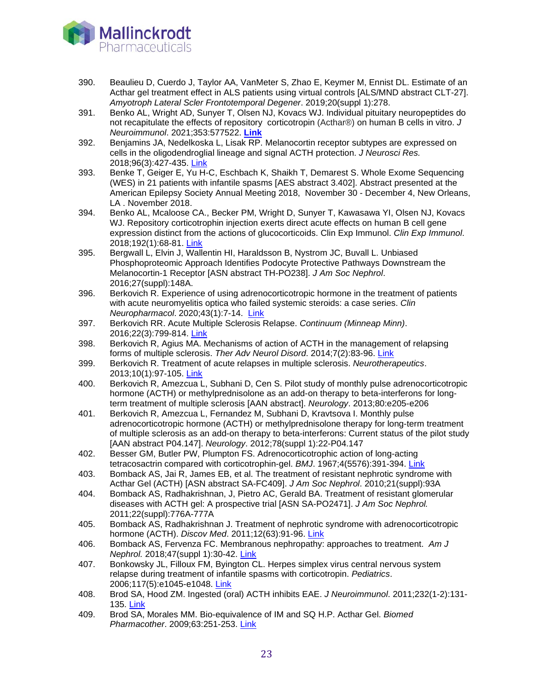

- 390. Beaulieu D, Cuerdo J, Taylor AA, VanMeter S, Zhao E, Keymer M, Ennist DL. Estimate of an Acthar gel treatment effect in ALS patients using virtual controls [ALS/MND abstract CLT-27]. *Amyotroph Lateral Scler Frontotemporal Degener*. 2019;20(suppl 1):278.
- 391. Benko AL, Wright AD, Sunyer T, Olsen NJ, Kovacs WJ. Individual pituitary neuropeptides do not recapitulate the effects of repository corticotropin (Acthar®) on human B cells in vitro. *J Neuroimmunol*. 2021;353:577522. **[Link](https://pubmed.ncbi.nlm.nih.gov/33601128)**
- 392. Benjamins JA, Nedelkoska L, Lisak RP. Melanocortin receptor subtypes are expressed on cells in the oligodendroglial lineage and signal ACTH protection. *J Neurosci Res.*  2018;96(3):427-435. [Link](https://www.ncbi.nlm.nih.gov/pubmed/28877366)
- 393. Benke T, Geiger E, Yu H-C, Eschbach K, Shaikh T, Demarest S. Whole Exome Sequencing (WES) in 21 patients with infantile spasms [AES abstract 3.402]. Abstract presented at the American Epilepsy Society Annual Meeting 2018, November 30 - December 4, New Orleans, LA . November 2018.
- 394. Benko AL, Mcaloose CA., Becker PM, Wright D, Sunyer T, Kawasawa YI, Olsen NJ, Kovacs WJ. Repository corticotrophin injection exerts direct acute effects on human B cell gene expression distinct from the actions of glucocorticoids. Clin Exp Immunol. *Clin Exp Immunol*. 2018;192(1):68-81. [Link](https://www.ncbi.nlm.nih.gov/pubmed/29205315)
- 395. Bergwall L, Elvin J, Wallentin HI, Haraldsson B, Nystrom JC, Buvall L. Unbiased Phosphoproteomic Approach Identifies Podocyte Protective Pathways Downstream the Melanocortin-1 Receptor [ASN abstract TH-PO238]. *J Am Soc Nephrol*. 2016;27(suppl):148A.
- 396. Berkovich R. Experience of using adrenocorticotropic hormone in the treatment of patients with acute neuromyelitis optica who failed systemic steroids: a case series. *Clin Neuropharmacol*. 2020;43(1):7-14. [Link](https://www.ncbi.nlm.nih.gov/pubmed/31876792)
- 397. Berkovich RR. Acute Multiple Sclerosis Relapse. *Continuum (Minneap Minn)*. 2016;22(3):799-814. [Link](http://www.ncbi.nlm.nih.gov/pubmed/27261683)
- 398. Berkovich R, Agius MA. Mechanisms of action of ACTH in the management of relapsing forms of multiple sclerosis. *Ther Adv Neurol Disord*. 2014;7(2):83-96. [Link](http://www.ncbi.nlm.nih.gov/pubmed/24587825)
- 399. Berkovich R. Treatment of acute relapses in multiple sclerosis. *Neurotherapeutics*. 2013;10(1):97-105. [Link](http://www.ncbi.nlm.nih.gov/pubmed/23229226)
- 400. Berkovich R, Amezcua L, Subhani D, Cen S. Pilot study of monthly pulse adrenocorticotropic hormone (ACTH) or methylprednisolone as an add-on therapy to beta-interferons for longterm treatment of multiple sclerosis [AAN abstract]. *Neurology*. 2013;80:e205-e206
- 401. Berkovich R, Amezcua L, Fernandez M, Subhani D, Kravtsova I. Monthly pulse adrenocorticotropic hormone (ACTH) or methylprednisolone therapy for long-term treatment of multiple sclerosis as an add-on therapy to beta-interferons: Current status of the pilot study [AAN abstract P04.147]. *Neurology*. 2012;78(suppl 1):22-P04.147
- 402. Besser GM, Butler PW, Plumpton FS. Adrenocorticotrophic action of long-acting tetracosactrin compared with corticotrophin-gel. *BMJ*. 1967;4(5576):391-394. [Link](http://www.ncbi.nlm.nih.gov/pubmed/4293374)
- 403. Bomback AS, Jai R, James EB, et al. The treatment of resistant nephrotic syndrome with Acthar Gel (ACTH) [ASN abstract SA-FC409]. *J Am Soc Nephrol*. 2010;21(suppl):93A
- 404. Bomback AS, Radhakrishnan, J, Pietro AC, Gerald BA. Treatment of resistant glomerular diseases with ACTH gel: A prospective trial [ASN SA-PO2471]. *J Am Soc Nephrol.*  2011;22(suppl):776A-777A
- 405. Bomback AS, Radhakrishnan J. Treatment of nephrotic syndrome with adrenocorticotropic hormone (ACTH). *Discov Med*. 2011;12(63):91-96. Link
- 406. Bomback AS, Fervenza FC. Membranous nephropathy: approaches to treatment. *Am J Nephrol.* 2018;47(suppl 1):30-42. [Link](https://www.ncbi.nlm.nih.gov/pubmed/29852477)
- 407. Bonkowsky JL, Filloux FM, Byington CL. Herpes simplex virus central nervous system relapse during treatment of infantile spasms with corticotropin. *Pediatrics*. 2006;117(5):e1045-e1048. [Link](http://www.ncbi.nlm.nih.gov/pubmed/16606680)
- 408. Brod SA, Hood ZM. Ingested (oral) ACTH inhibits EAE. *J Neuroimmunol*. 2011;232(1-2):131- 135. [Link](http://www.ncbi.nlm.nih.gov/pubmed/21081248)
- 409. Brod SA, Morales MM. Bio-equivalence of IM and SQ H.P. Acthar Gel. *Biomed Pharmacother*. 2009;63:251-253. [Link](http://www.ncbi.nlm.nih.gov/pubmed/18848765)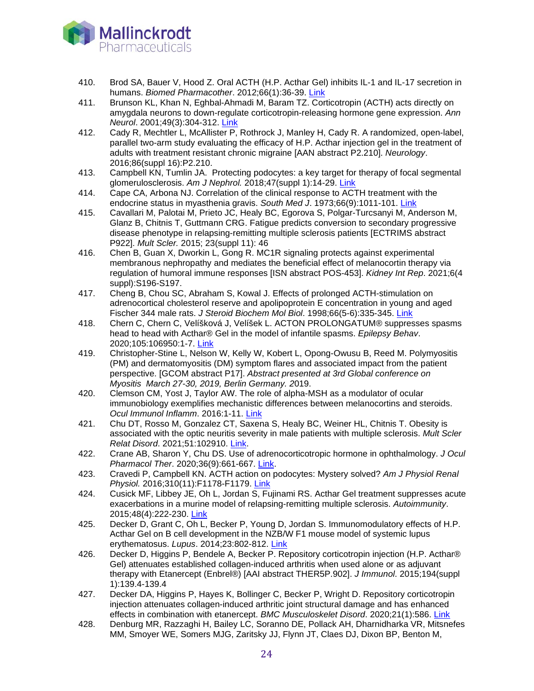

- 410. Brod SA, Bauer V, Hood Z. Oral ACTH (H.P. Acthar Gel) inhibits IL-1 and IL-17 secretion in humans. *Biomed Pharmacother*. 2012;66(1):36-39. [Link](http://www.ncbi.nlm.nih.gov/pubmed/22244960)
- 411. Brunson KL, Khan N, Eghbal-Ahmadi M, Baram TZ. Corticotropin (ACTH) acts directly on amygdala neurons to down-regulate corticotropin-releasing hormone gene expression. *Ann Neurol*. 2001;49(3):304-312. [Link](http://www.ncbi.nlm.nih.gov/pubmed/11261504)
- 412. Cady R, Mechtler L, McAllister P, Rothrock J, Manley H, Cady R. A randomized, open-label, parallel two-arm study evaluating the efficacy of H.P. Acthar injection gel in the treatment of adults with treatment resistant chronic migraine [AAN abstract P2.210]. *Neurology*. 2016;86(suppl 16):P2.210.
- 413. Campbell KN, Tumlin JA. Protecting podocytes: a key target for therapy of focal segmental glomerulosclerosis. *Am J Nephrol.* 2018;47(suppl 1):14-29. [Link](https://www.ncbi.nlm.nih.gov/pubmed/29852493)
- 414. Cape CA, Arbona NJ. Correlation of the clinical response to ACTH treatment with the endocrine status in myasthenia gravis. *South Med J*. 1973;66(9):1011-101. [Link](https://www.ncbi.nlm.nih.gov/pubmed/4354772)
- 415. Cavallari M, Palotai M, Prieto JC, Healy BC, Egorova S, Polgar-Turcsanyi M, Anderson M, Glanz B, Chitnis T, Guttmann CRG. Fatigue predicts conversion to secondary progressive disease phenotype in relapsing-remitting multiple sclerosis patients [ECTRIMS abstract P922]. *Mult Scler.* 2015; 23(suppl 11): 46
- 416. Chen B, Guan X, Dworkin L, Gong R. MC1R signaling protects against experimental membranous nephropathy and mediates the beneficial effect of melanocortin therapy via regulation of humoral immune responses [ISN abstract POS-453]. *Kidney Int Rep*. 2021;6(4 suppl):S196-S197.
- 417. Cheng B, Chou SC, Abraham S, Kowal J. Effects of prolonged ACTH-stimulation on adrenocortical cholesterol reserve and apolipoprotein E concentration in young and aged Fischer 344 male rats. *J Steroid Biochem Mol Biol*. 1998;66(5-6):335-345. [Link](http://www.ncbi.nlm.nih.gov/pubmed/9749839)
- 418. Chern C, Chern C, Velíšková J, Velíšek L. ACTON PROLONGATUM® suppresses spasms head to head with Acthar® Gel in the model of infantile spasms. *Epilepsy Behav*. 2020;105:106950:1-7. [Link](https://www.ncbi.nlm.nih.gov/pubmed/32092460)
- 419. Christopher-Stine L, Nelson W, Kelly W, Kobert L, Opong-Owusu B, Reed M. Polymyositis (PM) and dermatomyositis (DM) symptom flares and associated impact from the patient perspective. [GCOM abstract P17]. *Abstract presented at 3rd Global conference on Myositis March 27-30, 2019, Berlin Germany. 2*019.
- 420. Clemson CM, Yost J, Taylor AW. The role of alpha-MSH as a modulator of ocular immunobiology exemplifies mechanistic differences between melanocortins and steroids. *Ocul Immunol Inflamm*. 2016:1-11. [Link](http://www.ncbi.nlm.nih.gov/pubmed/26807874)
- 421. Chu DT, Rosso M, Gonzalez CT, Saxena S, Healy BC, Weiner HL, Chitnis T. Obesity is associated with the optic neuritis severity in male patients with multiple sclerosis. *Mult Scler Relat Disord*. 2021;51:102910. [Link.](https://pubmed.ncbi.nlm.nih.gov/33799288/)
- 422. Crane AB, Sharon Y, Chu DS. Use of adrenocorticotropic hormone in ophthalmology. *J Ocul Pharmacol Ther*. 2020;36(9):661-667. [Link.](https://pubmed.ncbi.nlm.nih.gov/32762596/)
- 423. Cravedi P, Campbell KN. ACTH action on podocytes: Mystery solved? *Am J Physiol Renal Physiol.* 2016;310(11):F1178-F1179. [Link](http://www.ncbi.nlm.nih.gov/pubmed/26962102)
- 424. Cusick MF, Libbey JE, Oh L, Jordan S, Fujinami RS. Acthar Gel treatment suppresses acute exacerbations in a murine model of relapsing-remitting multiple sclerosis. *Autoimmunity*. 2015;48(4):222-230. [Link](http://www.ncbi.nlm.nih.gov/pubmed/25410153)
- 425. Decker D, Grant C, Oh L, Becker P, Young D, Jordan S. Immunomodulatory effects of H.P. Acthar Gel on B cell development in the NZB/W F1 mouse model of systemic lupus erythematosus. *Lupus*. 2014;23:802-812. [Link](http://www.ncbi.nlm.nih.gov/pubmed/24759631)
- 426. Decker D, Higgins P, Bendele A, Becker P. Repository corticotropin injection (H.P. Acthar® Gel) attenuates established collagen-induced arthritis when used alone or as adjuvant therapy with Etanercept (Enbrel®) [AAI abstract THER5P.902]. *J Immunol*. 2015;194(suppl 1):139.4-139.4
- 427. Decker DA, Higgins P, Hayes K, Bollinger C, Becker P, Wright D. Repository corticotropin injection attenuates collagen-induced arthritic joint structural damage and has enhanced effects in combination with etanercept. *BMC Musculoskelet Disord*. 2020;21(1):586. [Link](https://pubmed.ncbi.nlm.nih.gov/32867752)
- 428. Denburg MR, Razzaghi H, Bailey LC, Soranno DE, Pollack AH, Dharnidharka VR, Mitsnefes MM, Smoyer WE, Somers MJG, Zaritsky JJ, Flynn JT, Claes DJ, Dixon BP, Benton M,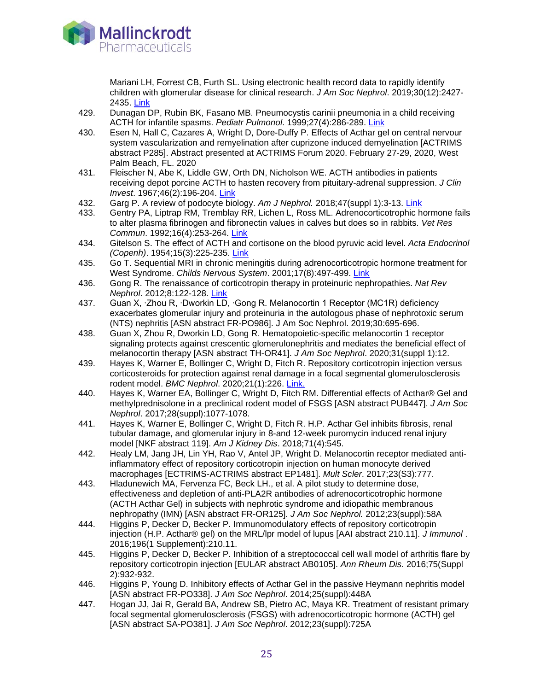

Mariani LH, Forrest CB, Furth SL. Using electronic health record data to rapidly identify children with glomerular disease for clinical research. *J Am Soc Nephrol*. 2019;30(12):2427- 2435. [Link](https://pubmed.ncbi.nlm.nih.gov/31732612/)

- 429. Dunagan DP, Rubin BK, Fasano MB. Pneumocystis carinii pneumonia in a child receiving ACTH for infantile spasms. *Pediatr Pulmonol*. 1999;27(4):286-289. [Link](http://www.ncbi.nlm.nih.gov/pubmed/10230930)
- 430. Esen N, Hall C, Cazares A, Wright D, Dore-Duffy P. Effects of Acthar gel on central nervour system vascularization and remyelination after cuprizone induced demyelination [ACTRIMS abstract P285]. Abstract presented at ACTRIMS Forum 2020. February 27-29, 2020, West Palm Beach, FL. 2020
- 431. Fleischer N, Abe K, Liddle GW, Orth DN, Nicholson WE. ACTH antibodies in patients receiving depot porcine ACTH to hasten recovery from pituitary-adrenal suppression. *J Clin Invest*. 1967;46(2):196-204. [Link](http://www.ncbi.nlm.nih.gov/pubmed/4289551)
- 432. Garg P. A review of podocyte biology. *Am J Nephrol.* 2018;47(suppl 1):3-13. [Link](https://www.ncbi.nlm.nih.gov/pubmed/29852492)
- 433. Gentry PA, Liptrap RM, Tremblay RR, Lichen L, Ross ML. Adrenocorticotrophic hormone fails to alter plasma fibrinogen and fibronectin values in calves but does so in rabbits. *Vet Res Commun*. 1992;16(4):253-264. [Link](http://www.ncbi.nlm.nih.gov/pubmed/1334608)
- 434. Gitelson S. The effect of ACTH and cortisone on the blood pyruvic acid level. *Acta Endocrinol (Copenh)*. 1954;15(3):225-235. [Link](http://www.ncbi.nlm.nih.gov/pubmed/13147714)
- 435. Go T. Sequential MRI in chronic meningitis during adrenocorticotropic hormone treatment for West Syndrome. Childs Nervous System. 2001;17(8):497-499. [Link](http://www.ncbi.nlm.nih.gov/pubmed/11508542)
- 436. Gong R. The renaissance of corticotropin therapy in proteinuric nephropathies. *Nat Rev Nephrol*. 2012;8:122-128. [Link](http://www.ncbi.nlm.nih.gov/pubmed/22143333)
- 437. Guan X, ∙Zhou R, ∙Dworkin LD, ∙Gong R. Melanocortin 1 Receptor (MC1R) deficiency exacerbates glomerular injury and proteinuria in the autologous phase of nephrotoxic serum (NTS) nephritis [ASN abstract FR-PO986]. J Am Soc Nephrol. 2019;30:695-696.
- 438. Guan X, Zhou R, Dworkin LD, Gong R. Hematopoietic-specific melanocortin 1 receptor signaling protects against crescentic glomerulonephritis and mediates the beneficial effect of melanocortin therapy [ASN abstract TH-OR41]. *J Am Soc Nephrol*. 2020;31(suppl 1):12.
- 439. Hayes K, Warner E, Bollinger C, Wright D, Fitch R. Repository corticotropin injection versus corticosteroids for protection against renal damage in a focal segmental glomerulosclerosis rodent model. *BMC Nephrol*. 2020;21(1):226. Link.
- 440. Hayes K, Warner EA, Bollinger C, Wright D, Fitch RM. Differential effects of Acthar® Gel and methylprednisolone in a preclinical rodent model of FSGS [ASN abstract PUB447]. *J Am Soc Nephrol*. 2017;28(suppl):1077-1078.
- 441. Hayes K, Warner E, Bollinger C, Wright D, Fitch R. H.P. Acthar Gel inhibits fibrosis, renal tubular damage, and glomerular injury in 8-and 12-week puromycin induced renal injury model [NKF abstract 119]. *Am J Kidney Dis*. 2018;71(4):545.
- 442. Healy LM, Jang JH, Lin YH, Rao V, Antel JP, Wright D. Melanocortin receptor mediated antiinflammatory effect of repository corticotropin injection on human monocyte derived macrophages [ECTRIMS-ACTRIMS abstract EP1481]. *Mult Scler*. 2017;23(S3):777.
- 443. Hladunewich MA, Fervenza FC, Beck LH., et al. A pilot study to determine dose, effectiveness and depletion of anti-PLA2R antibodies of adrenocorticotrophic hormone (ACTH Acthar Gel) in subjects with nephrotic syndrome and idiopathic membranous nephropathy (IMN) [ASN abstract FR-OR125]. *J Am Soc Nephrol.* 2012;23(suppl):58A
- 444. Higgins P, Decker D, Becker P. Immunomodulatory effects of repository corticotropin injection (H.P. Acthar® gel) on the MRL/lpr model of lupus [AAI abstract 210.11]. *J Immunol* . 2016;196(1 Supplement):210.11.
- 445. Higgins P, Decker D, Becker P. Inhibition of a streptococcal cell wall model of arthritis flare by repository corticotropin injection [EULAR abstract AB0105]. *Ann Rheum Dis*. 2016;75(Suppl 2):932-932.
- 446. Higgins P, Young D. Inhibitory effects of Acthar Gel in the passive Heymann nephritis model [ASN abstract FR-PO338]. *J Am Soc Nephrol*. 2014;25(suppl):448A
- 447. Hogan JJ, Jai R, Gerald BA, Andrew SB, Pietro AC, Maya KR. Treatment of resistant primary focal segmental glomerulosclerosis (FSGS) with adrenocorticotropic hormone (ACTH) gel [ASN abstract SA-PO381]. *J Am Soc Nephrol*. 2012;23(suppl):725A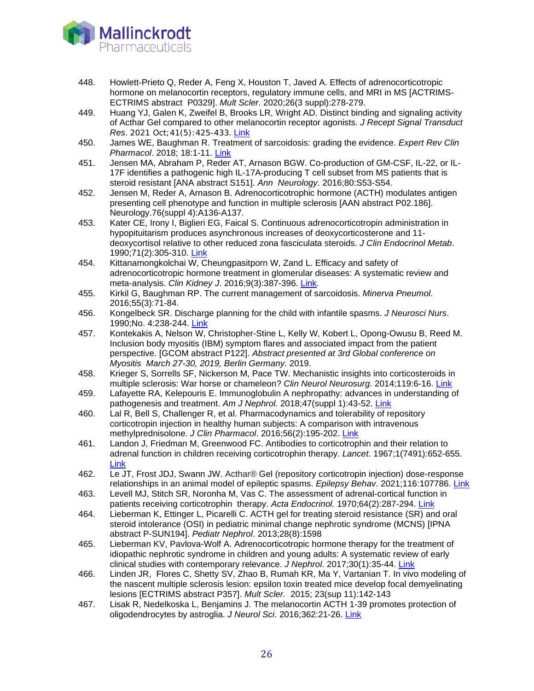

- 448. Howlett-Prieto Q, Reder A, Feng X, Houston T, Javed A. Effects of adrenocorticotropic hormone on melanocortin receptors, regulatory immune cells, and MRI in MS [ACTRIMS-ECTRIMS abstract P0329]. *Mult Scler*. 2020;26(3 suppl):278-279.
- 449. Huang YJ, Galen K, Zweifel B, Brooks LR, Wright AD. Distinct binding and signaling activity of Acthar Gel compared to other melanocortin receptor agonists. *J Recept Signal Transduct Res*. 2021 Oct;41(5):425-433. [Link](https://pubmed.ncbi.nlm.nih.gov/32938265)
- 450. James WE, Baughman R. Treatment of sarcoidosis: grading the evidence. *Expert Rev Clin Pharmacol*. 2018; 18:1-11. [Link](https://www.ncbi.nlm.nih.gov/pubmed/29883224)
- 451. Jensen MA, Abraham P, Reder AT, Arnason BGW. Co-production of GM-CSF, IL-22, or IL-17F identifies a pathogenic high IL-17A-producing T cell subset from MS patients that is steroid resistant [ANA abstract S151]. *Ann Neurology*. 2016;80:S53-S54.
- 452. Jensen M, Reder A, Arnason B. Adrenocorticotrophic hormone (ACTH) modulates antigen presenting cell phenotype and function in multiple sclerosis [AAN abstract P02.186]. Neurology.76(suppl 4):A136-A137.
- 453. Kater CE, Irony I, Biglieri EG, Faical S. Continuous adrenocorticotropin administration in hypopituitarism produces asynchronous increases of deoxycorticosterone and 11 deoxycortisol relative to other reduced zona fasciculata steroids. *J Clin Endocrinol Metab*. 1990;71(2):305-310. [Link](http://www.ncbi.nlm.nih.gov/pubmed/2166067)
- 454. Kittanamongkolchai W, Cheungpasitporn W, Zand L. Efficacy and safety of adrenocorticotropic hormone treatment in glomerular diseases: A systematic review and meta-analysis. *Clin Kidney J*. 2016;9(3):387-396. [Link.](http://www.ncbi.nlm.nih.gov/pubmed/27274822)
- 455. Kirkil G, Baughman RP. The current management of sarcoidosis. *Minerva Pneumol*. 2016;55(3):71-84.
- 456. Kongelbeck SR. Discharge planning for the child with infantile spasms. *J Neurosci Nurs*. 1990;No. 4:238-244. [Link](http://www.ncbi.nlm.nih.gov/pubmed/1697884)
- 457. Kontekakis A, Nelson W, Christopher-Stine L, Kelly W, Kobert L, Opong-Owusu B, Reed M. Inclusion body myositis (IBM) symptom flares and associated impact from the patient perspective. [GCOM abstract P122]. *Abstract presented at 3rd Global conference on Myositis March 27-30, 2019, Berlin Germany.* 2019.
- 458. Krieger S, Sorrells SF, Nickerson M, Pace TW. Mechanistic insights into corticosteroids in multiple sclerosis: War horse or chameleon? *Clin Neurol Neurosurg*. 2014;119:6-16. [Link](http://www.ncbi.nlm.nih.gov/pubmed/24635918)
- 459. Lafayette RA, Kelepouris E. Immunoglobulin A nephropathy: advances in understanding of pathogenesis and treatment. *Am J Nephrol.* 2018;47(suppl 1):43-52. [Link](https://www.ncbi.nlm.nih.gov/pubmed/29852501)
- 460. Lal R, Bell S, Challenger R, et al. Pharmacodynamics and tolerability of repository corticotropin injection in healthy human subjects: A comparison with intravenous methylprednisolone. *J Clin Pharmacol*. 2016;56(2):195-202. [Link](http://www.ncbi.nlm.nih.gov/pubmed/26120075)
- 461. Landon J, Friedman M, Greenwood FC. Antibodies to corticotrophin and their relation to adrenal function in children receiving corticotrophin therapy. *Lancet*. 1967;1(7491):652-655. [Link](http://www.ncbi.nlm.nih.gov/pubmed/4163960)
- 462. Le JT, Frost JDJ, Swann JW. Acthar® Gel (repository corticotropin injection) dose-response relationships in an animal model of epileptic spasms. *Epilepsy Behav*. 2021;116:107786. [Link](https://pubmed.ncbi.nlm.nih.gov/33548914)
- 463. Levell MJ, Stitch SR, Noronha M, Vas C. The assessment of adrenal-cortical function in patients receiving corticotrophin therapy. *Acta Endocrinol.* 1970;64(2):287-294. [Link](https://www.ncbi.nlm.nih.gov/pubmed/4317517)
- 464. Lieberman K, Ettinger L, Picarelli C. ACTH gel for treating steroid resistance (SR) and oral steroid intolerance (OSI) in pediatric minimal change nephrotic syndrome (MCNS) [IPNA abstract P-SUN194]. *Pediatr Nephrol*. 2013;28(8):1598
- 465. Lieberman KV, Pavlova-Wolf A. Adrenocorticotropic hormone therapy for the treatment of idiopathic nephrotic syndrome in children and young adults: A systematic review of early clinical studies with contemporary relevance. *J Nephrol*. 2017;30(1):35-44. [Link](http://www.ncbi.nlm.nih.gov/pubmed/27084801)
- 466. Linden JR, Flores C, Shetty SV, Zhao B, Rumah KR, Ma Y, Vartanian T. In vivo modeling of the nascent multiple sclerosis lesion: epsilon toxin treated mice develop focal demyelinating lesions [ECTRIMS abstract P357]. *Mult Scler.* 2015; 23(sup 11):142-143
- 467. Lisak R, Nedelkoska L, Benjamins J. The melanocortin ACTH 1-39 promotes protection of oligodendrocytes by astroglia. *J Neurol Sci*. 2016;362:21-26. [Link](http://www.ncbi.nlm.nih.gov/pubmed/26944112)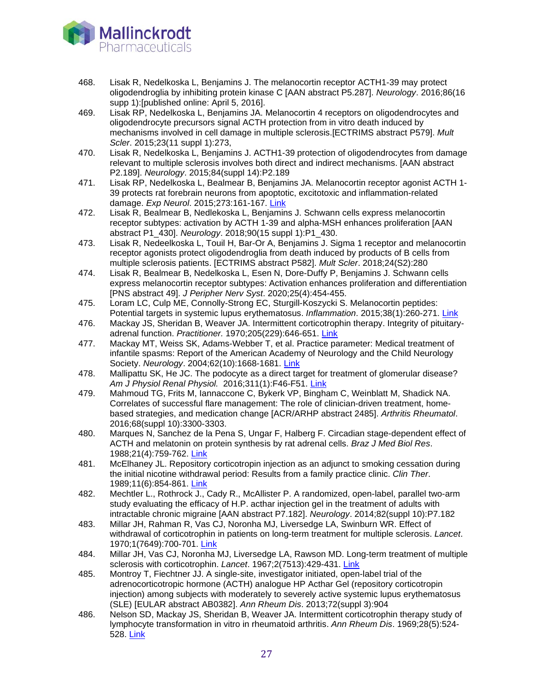

- 468. Lisak R, Nedelkoska L, Benjamins J. The melanocortin receptor ACTH1-39 may protect oligodendroglia by inhibiting protein kinase C [AAN abstract P5.287]. *Neurology*. 2016;86(16 supp 1):[published online: April 5, 2016].
- 469. Lisak RP, Nedelkoska L, Benjamins JA. Melanocortin 4 receptors on oligodendrocytes and oligodendrocyte precursors signal ACTH protection from in vitro death induced by mechanisms involved in cell damage in multiple sclerosis.[ECTRIMS abstract P579]. *Mult Scler*. 2015;23(11 suppl 1):273,
- 470. Lisak R, Nedelkoska L, Benjamins J. ACTH1-39 protection of oligodendrocytes from damage relevant to multiple sclerosis involves both direct and indirect mechanisms. [AAN abstract P2.189]. *Neurology*. 2015;84(suppl 14):P2.189
- 471. Lisak RP, Nedelkoska L, Bealmear B, Benjamins JA. Melanocortin receptor agonist ACTH 1- 39 protects rat forebrain neurons from apoptotic, excitotoxic and inflammation-related damage. *Exp Neurol*. 2015;273:161-167. [Link](http://www.ncbi.nlm.nih.gov/pubmed/26300474)
- 472. Lisak R, Bealmear B, Nedlekoska L, Benjamins J. Schwann cells express melanocortin receptor subtypes: activation by ACTH 1-39 and alpha-MSH enhances proliferation [AAN abstract P1\_430]. *Neurology*. 2018;90(15 suppl 1):P1\_430.
- 473. Lisak R, Nedeelkoska L, Touil H, Bar-Or A, Benjamins J. Sigma 1 receptor and melanocortin receptor agonists protect oligodendroglia from death induced by products of B cells from multiple sclerosis patients. [ECTRIMS abstract P582]. *Mult Scler*. 2018;24(S2):280
- 474. Lisak R, Bealmear B, Nedelkoska L, Esen N, Dore-Duffy P, Benjamins J. Schwann cells express melanocortin receptor subtypes: Activation enhances proliferation and differentiation [PNS abstract 49]. *J Peripher Nerv Syst*. 2020;25(4):454-455.
- 475. Loram LC, Culp ME, Connolly-Strong EC, Sturgill-Koszycki S. Melanocortin peptides: Potential targets in systemic lupus erythematosus. *Inflammation*. 2015;38(1):260-271. [Link](http://www.ncbi.nlm.nih.gov/pubmed/25323206)
- 476. Mackay JS, Sheridan B, Weaver JA. Intermittent corticotrophin therapy. Integrity of pituitaryadrenal function. *Practitioner.* 1970;205(229):646-651. [Link](https://www.ncbi.nlm.nih.gov/pubmed/4321736)
- 477. Mackay MT, Weiss SK, Adams-Webber T, et al. Practice parameter: Medical treatment of infantile spasms: Report of the American Academy of Neurology and the Child Neurology Society. *Neurology*. 2004;62(10):1668-1681. [Link](http://www.ncbi.nlm.nih.gov/pubmed/15159460)
- 478. Mallipattu SK, He JC. The podocyte as a direct target for treatment of glomerular disease? *Am J Physiol Renal Physiol.* 2016;311(1):F46-F51. [Link](http://www.ncbi.nlm.nih.gov/pubmed/27097894)
- 479. Mahmoud TG, Frits M, Iannaccone C, Bykerk VP, Bingham C, Weinblatt M, Shadick NA. Correlates of successful flare management: The role of clinician-driven treatment, homebased strategies, and medication change [ACR/ARHP abstract 2485]. *Arthritis Rheumatol*. 2016;68(suppl 10):3300-3303.
- 480. Marques N, Sanchez de la Pena S, Ungar F, Halberg F. Circadian stage-dependent effect of ACTH and melatonin on protein synthesis by rat adrenal cells. *Braz J Med Biol Res*. 1988;21(4):759-762. [Link](http://www.ncbi.nlm.nih.gov/pubmed/2853640)
- 481. McElhaney JL. Repository corticotropin injection as an adjunct to smoking cessation during the initial nicotine withdrawal period: Results from a family practice clinic. *Clin Ther*. 1989;11(6):854-861. [Link](http://www.ncbi.nlm.nih.gov/pubmed/2558799)
- 482. Mechtler L., Rothrock J., Cady R., McAllister P. A randomized, open-label, parallel two-arm study evaluating the efficacy of H.P. acthar injection gel in the treatment of adults with intractable chronic migraine [AAN abstract P7.182]. *Neurology*. 2014;82(suppl 10):P7.182
- 483. Millar JH, Rahman R, Vas CJ, Noronha MJ, Liversedge LA, Swinburn WR. Effect of withdrawal of corticotrophin in patients on long-term treatment for multiple sclerosis. *Lancet*. 1970;1(7649):700-701. [Link](http://www.ncbi.nlm.nih.gov/pubmed/4190999)
- 484. Millar JH, Vas CJ, Noronha MJ, Liversedge LA, Rawson MD. Long-term treatment of multiple sclerosis with corticotrophin. *Lancet*. 1967;2(7513):429-431. [Link](http://www.ncbi.nlm.nih.gov/pubmed/4166100)
- 485. Montroy T, Fiechtner JJ. A single-site, investigator initiated, open-label trial of the adrenocorticotropic hormone (ACTH) analogue HP Acthar Gel (repository corticotropin injection) among subjects with moderately to severely active systemic lupus erythematosus (SLE) [EULAR abstract AB0382]. *Ann Rheum Dis*. 2013;72(suppl 3):904
- 486. Nelson SD, Mackay JS, Sheridan B, Weaver JA. Intermittent corticotrophin therapy study of lymphocyte transformation in vitro in rheumatoid arthritis. *Ann Rheum Dis*. 1969;28(5):524- 528. [Link](http://www.ncbi.nlm.nih.gov/pubmed/4310314)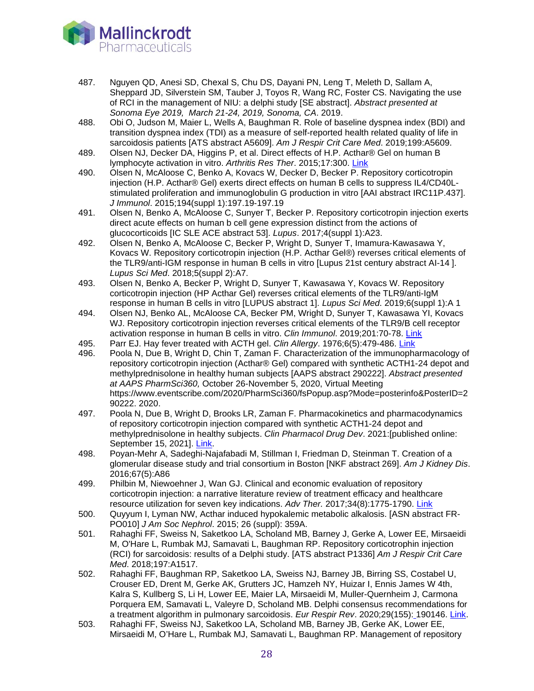

- 487. Nguyen QD, Anesi SD, Chexal S, Chu DS, Dayani PN, Leng T, Meleth D, Sallam A, Sheppard JD, Silverstein SM, Tauber J, Toyos R, Wang RC, Foster CS. Navigating the use of RCI in the management of NIU: a delphi study [SE abstract]. *Abstract presented at Sonoma Eye 2019, March 21-24, 2019, Sonoma, CA*. 2019.
- 488. Obi O, Judson M, Maier L, Wells A, Baughman R. Role of baseline dyspnea index (BDI) and transition dyspnea index (TDI) as a measure of self-reported health related quality of life in sarcoidosis patients [ATS abstract A5609]. *Am J Respir Crit Care Med*. 2019;199:A5609.
- 489. Olsen NJ, Decker DA, Higgins P, et al. Direct effects of H.P. Acthar® Gel on human B lymphocyte activation in vitro. *Arthritis Res Ther*. 2015;17:300. [Link](http://www.ncbi.nlm.nih.gov/pubmed/26507974)
- 490. Olsen N, McAloose C, Benko A, Kovacs W, Decker D, Becker P. Repository corticotropin injection (H.P. Acthar® Gel) exerts direct effects on human B cells to suppress IL4/CD40Lstimulated proliferation and immunoglobulin G production in vitro [AAI abstract IRC11P.437]. *J Immunol*. 2015;194(suppl 1):197.19-197.19
- 491. Olsen N, Benko A, McAloose C, Sunyer T, Becker P. Repository corticotropin injection exerts direct acute effects on human b cell gene expression distinct from the actions of glucocorticoids [IC SLE ACE abstract 53]. *Lupus*. 2017;4(suppl 1):A23.
- 492. Olsen N, Benko A, McAloose C, Becker P, Wright D, Sunyer T, Imamura-Kawasawa Y, Kovacs W. Repository corticotropin injection (H.P. Acthar Gel®) reverses critical elements of the TLR9/anti-IGM response in human B cells in vitro [Lupus 21st century abstract AI-14 ]. *Lupus Sci Med*. 2018;5(suppl 2):A7.
- 493. Olsen N, Benko A, Becker P, Wright D, Sunyer T, Kawasawa Y, Kovacs W. Repository corticotropin injection (HP Acthar Gel) reverses critical elements of the TLR9/anti-IgM response in human B cells in vitro [LUPUS abstract 1]. *Lupus Sci Med*. 2019;6(suppl 1):A 1
- 494. Olsen NJ, Benko AL, McAloose CA, Becker PM, Wright D, Sunyer T, Kawasawa YI, Kovacs WJ. Repository corticotropin injection reverses critical elements of the TLR9/B cell receptor activation response in human B cells in vitro. *Clin Immunol*. 2019;201:70-78. [Link](https://www.ncbi.nlm.nih.gov/pubmed/30844442)
- 495. Parr EJ. Hay fever treated with ACTH gel. *Clin Allergy*. 1976;6(5):479-486. [Link](http://www.ncbi.nlm.nih.gov/pubmed/184978)
- 496. Poola N, Due B, Wright D, Chin T, Zaman F. Characterization of the immunopharmacology of repository corticotropin injection (Acthar® Gel) compared with synthetic ACTH1-24 depot and methylprednisolone in healthy human subjects [AAPS abstract 290222]. *Abstract presented at AAPS PharmSci360,* October 26-November 5, 2020, Virtual Meeting https://www.eventscribe.com/2020/PharmSci360/fsPopup.asp?Mode=posterinfo&PosterID=2 90222. 2020.
- 497. Poola N, Due B, Wright D, Brooks LR, Zaman F. Pharmacokinetics and pharmacodynamics of repository corticotropin injection compared with synthetic ACTH1-24 depot and methylprednisolone in healthy subjects. *Clin Pharmacol Drug Dev*. 2021:[published online: September 15, 2021]. [Link.](https://pubmed.ncbi.nlm.nih.gov/34528408/)
- 498. Poyan-Mehr A, Sadeghi-Najafabadi M, Stillman I, Friedman D, Steinman T. Creation of a glomerular disease study and trial consortium in Boston [NKF abstract 269]. *Am J Kidney Dis*. 2016;67(5):A86
- 499. Philbin M, Niewoehner J, Wan GJ. Clinical and economic evaluation of repository corticotropin injection: a narrative literature review of treatment efficacy and healthcare resource utilization for seven key indications. *Adv Ther.* 2017;34(8):1775-1790. [Link](https://www.ncbi.nlm.nih.gov/pubmed/28660550)
- 500. Quyyum I, Lyman NW, Acthar induced hypokalemic metabolic alkalosis. [ASN abstract FR-PO010] *J Am Soc Nephrol*. 2015; 26 (suppl): 359A.
- 501. Rahaghi FF, Sweiss N, Saketkoo LA, Scholand MB, Barney J, Gerke A, Lower EE, Mirsaeidi M, O'Hare L, Rumbak MJ, Samavati L, Baughman RP. Repository corticotrophin injection (RCI) for sarcoidosis: results of a Delphi study. [ATS abstract P1336] *Am J Respir Crit Care Med*. 2018;197:A1517.
- 502. Rahaghi FF, Baughman RP, Saketkoo LA, Sweiss NJ, Barney JB, Birring SS, Costabel U, Crouser ED, Drent M, Gerke AK, Grutters JC, Hamzeh NY, Huizar I, Ennis James W 4th, Kalra S, Kullberg S, Li H, Lower EE, Maier LA, Mirsaeidi M, Muller-Quernheim J, Carmona Porquera EM, Samavati L, Valeyre D, Scholand MB. Delphi consensus recommendations for a treatment algorithm in pulmonary sarcoidosis. *Eur Respir Rev*. 2020;29(155): 190146. [Link.](https://www.ncbi.nlm.nih.gov/pubmed/32198218)
- 503. Rahaghi FF, Sweiss NJ, Saketkoo LA, Scholand MB, Barney JB, Gerke AK, Lower EE, Mirsaeidi M, O'Hare L, Rumbak MJ, Samavati L, Baughman RP. Management of repository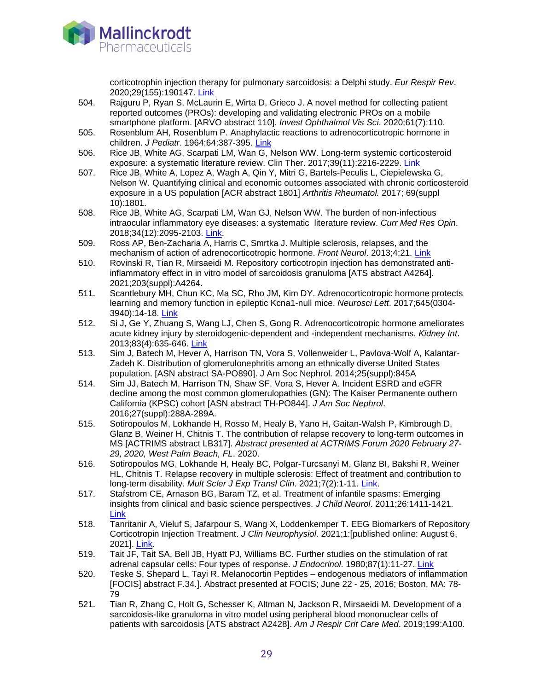

corticotrophin injection therapy for pulmonary sarcoidosis: a Delphi study. *Eur Respir Rev*. 2020;29(155):190147. [Link](https://www.ncbi.nlm.nih.gov/pubmed/32198219)

- 504. Rajguru P, Ryan S, McLaurin E, Wirta D, Grieco J. A novel method for collecting patient reported outcomes (PROs): developing and validating electronic PROs on a mobile smartphone platform. [ARVO abstract 110]. *Invest Ophthalmol Vis Sci*. 2020;61(7):110.
- 505. Rosenblum AH, Rosenblum P. Anaphylactic reactions to adrenocorticotropic hormone in children. *J Pediatr*. 1964;64:387-395. [Link](http://www.ncbi.nlm.nih.gov/pubmed/14130712)
- 506. Rice JB, White AG, Scarpati LM, Wan G, Nelson WW. Long-term systemic corticosteroid exposure: a systematic literature review. Clin Ther. 2017;39(11):2216-2229. [Link](https://www.ncbi.nlm.nih.gov/pubmed/29055500)
- 507. Rice JB, White A, Lopez A, Wagh A, Qin Y, Mitri G, Bartels-Peculis L, Ciepielewska G, Nelson W. Quantifying clinical and economic outcomes associated with chronic corticosteroid exposure in a US population [ACR abstract 1801] *Arthritis Rheumatol.* 2017; 69(suppl 10):1801.
- 508. Rice JB, White AG, Scarpati LM, Wan GJ, Nelson WW. The burden of non-infectious intraocular inflammatory eye diseases: a systematic literature review. *Curr Med Res Opin*. 2018;34(12):2095-2103. [Link.](https://www.ncbi.nlm.nih.gov/pubmed/30112931)
- 509. Ross AP, Ben-Zacharia A, Harris C, Smrtka J. Multiple sclerosis, relapses, and the mechanism of action of adrenocorticotropic hormone. *Front Neurol*. 2013;4:21. [Link](http://www.ncbi.nlm.nih.gov/pubmed/23482896)
- 510. Rovinski R, Tian R, Mirsaeidi M. Repository corticotropin injection has demonstrated antiinflammatory effect in in vitro model of sarcoidosis granuloma [ATS abstract A4264]. 2021;203(suppl):A4264.
- 511. Scantlebury MH, Chun KC, Ma SC, Rho JM, Kim DY. Adrenocorticotropic hormone protects learning and memory function in epileptic Kcna1-null mice. *Neurosci Lett*. 2017;645(0304- 3940):14-18. [Link](https://www.ncbi.nlm.nih.gov/pubmed/28249786)
- 512. Si J, Ge Y, Zhuang S, Wang LJ, Chen S, Gong R. Adrenocorticotropic hormone ameliorates acute kidney injury by steroidogenic-dependent and -independent mechanisms. *Kidney Int*. 2013;83(4):635-646. [Link](http://www.ncbi.nlm.nih.gov/pubmed/23325074)
- 513. Sim J, Batech M, Hever A, Harrison TN, Vora S, Vollenweider L, Pavlova-Wolf A, Kalantar-Zadeh K. Distribution of glomerulonephritis among an ethnically diverse United States population. [ASN abstract SA-PO890]. J Am Soc Nephrol. 2014;25(suppl):845A
- 514. Sim JJ, Batech M, Harrison TN, Shaw SF, Vora S, Hever A. Incident ESRD and eGFR decline among the most common glomerulopathies (GN): The Kaiser Permanente outhern California (KPSC) cohort [ASN abstract TH-PO844]. *J Am Soc Nephrol*. 2016;27(suppl):288A-289A.
- 515. Sotiropoulos M, Lokhande H, Rosso M, Healy B, Yano H, Gaitan-Walsh P, Kimbrough D, Glanz B, Weiner H, Chitnis T. The contribution of relapse recovery to long-term outcomes in MS [ACTRIMS abstract LB317]. *Abstract presented at ACTRIMS Forum 2020 February 27- 29, 2020, West Palm Beach, FL*. 2020.
- 516. Sotiropoulos MG, Lokhande H, Healy BC, Polgar-Turcsanyi M, Glanz BI, Bakshi R, Weiner HL, Chitnis T. Relapse recovery in multiple sclerosis: Effect of treatment and contribution to long-term disability. *Mult Scler J Exp Transl Clin*. 2021;7(2):1-11. [Link.](https://pubmed.ncbi.nlm.nih.gov/34104471/)
- 517. Stafstrom CE, Arnason BG, Baram TZ, et al. Treatment of infantile spasms: Emerging insights from clinical and basic science perspectives. *J Child Neurol*. 2011;26:1411-1421. [Link](http://www.ncbi.nlm.nih.gov/pubmed/21719797)
- 518. Tanritanir A, Vieluf S, Jafarpour S, Wang X, Loddenkemper T. EEG Biomarkers of Repository Corticotropin Injection Treatment. *J Clin Neurophysiol*. 2021;1:[published online: August 6, 2021]. [Link.](https://pubmed.ncbi.nlm.nih.gov/34387275/)
- 519. Tait JF, Tait SA, Bell JB, Hyatt PJ, Williams BC. Further studies on the stimulation of rat adrenal capsular cells: Four types of response. *J Endocrinol*. 1980;87(1):11-27. [Link](http://www.ncbi.nlm.nih.gov/pubmed/6253588)
- 520. Teske S, Shepard L, Tayi R. Melanocortin Peptides endogenous mediators of inflammation [FOCIS] abstract F.34.]. Abstract presented at FOCIS; June 22 - 25, 2016; Boston, MA: 78- 79
- 521. Tian R, Zhang C, Holt G, Schesser K, Altman N, Jackson R, Mirsaeidi M. Development of a sarcoidosis-like granuloma in vitro model using peripheral blood mononuclear cells of patients with sarcoidosis [ATS abstract A2428]. *Am J Respir Crit Care Med*. 2019;199:A100.